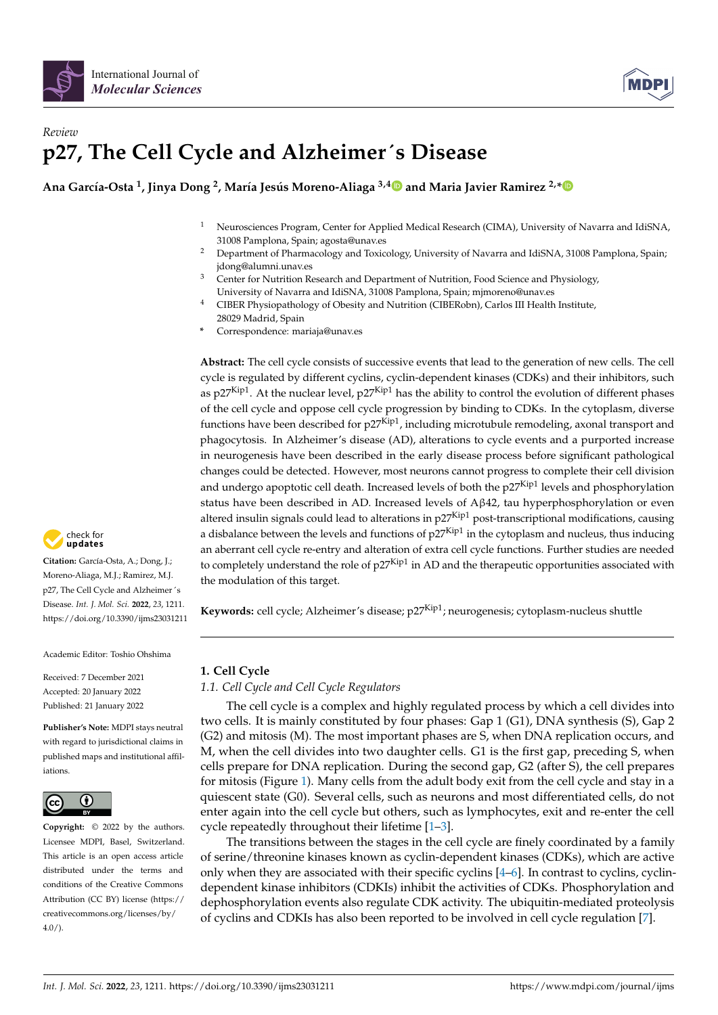



# *Review* **p27, The Cell Cycle and Alzheimer**´**s Disease**

# **Ana García-Osta <sup>1</sup> , Jinya Dong <sup>2</sup> , María Jesús Moreno-Aliaga 3,[4](https://orcid.org/0000-0002-2018-6434) and Maria Javier Ramirez 2,[\\*](https://orcid.org/0000-0002-3488-9579)**

- <sup>1</sup> Neurosciences Program, Center for Applied Medical Research (CIMA), University of Navarra and IdiSNA, 31008 Pamplona, Spain; agosta@unav.es
- <sup>2</sup> Department of Pharmacology and Toxicology, University of Navarra and IdiSNA, 31008 Pamplona, Spain; jdong@alumni.unav.es
- <sup>3</sup> Center for Nutrition Research and Department of Nutrition, Food Science and Physiology, University of Navarra and IdiSNA, 31008 Pamplona, Spain; mjmoreno@unav.es
- <sup>4</sup> CIBER Physiopathology of Obesity and Nutrition (CIBERobn), Carlos III Health Institute, 28029 Madrid, Spain
- **\*** Correspondence: mariaja@unav.es

**Abstract:** The cell cycle consists of successive events that lead to the generation of new cells. The cell cycle is regulated by different cyclins, cyclin-dependent kinases (CDKs) and their inhibitors, such as p27<sup>Kip1</sup>. At the nuclear level, p27<sup>Kip1</sup> has the ability to control the evolution of different phases of the cell cycle and oppose cell cycle progression by binding to CDKs. In the cytoplasm, diverse functions have been described for p27<sup>Kip1</sup>, including microtubule remodeling, axonal transport and phagocytosis. In Alzheimer's disease (AD), alterations to cycle events and a purported increase in neurogenesis have been described in the early disease process before significant pathological changes could be detected. However, most neurons cannot progress to complete their cell division and undergo apoptotic cell death. Increased levels of both the p27<sup>Kip1</sup> levels and phosphorylation status have been described in AD. Increased levels of Aβ42, tau hyperphosphorylation or even altered insulin signals could lead to alterations in p27<sup>Kip1</sup> post-transcriptional modifications, causing a disbalance between the levels and functions of  $p27<sup>Kip1</sup>$  in the cytoplasm and nucleus, thus inducing an aberrant cell cycle re-entry and alteration of extra cell cycle functions. Further studies are needed to completely understand the role of  $p27<sup>Kip1</sup>$  in AD and the therapeutic opportunities associated with the modulation of this target.

Keywords: cell cycle; Alzheimer's disease; p27Kip<sup>1</sup>; neurogenesis; cytoplasm-nucleus shuttle

# **1. Cell Cycle**

*1.1. Cell Cycle and Cell Cycle Regulators*

The cell cycle is a complex and highly regulated process by which a cell divides into two cells. It is mainly constituted by four phases: Gap 1 (G1), DNA synthesis (S), Gap 2 (G2) and mitosis (M). The most important phases are S, when DNA replication occurs, and M, when the cell divides into two daughter cells. G1 is the first gap, preceding S, when cells prepare for DNA replication. During the second gap, G2 (after S), the cell prepares for mitosis (Figure [1\)](#page-1-0). Many cells from the adult body exit from the cell cycle and stay in a quiescent state (G0). Several cells, such as neurons and most differentiated cells, do not enter again into the cell cycle but others, such as lymphocytes, exit and re-enter the cell cycle repeatedly throughout their lifetime [\[1–](#page-9-0)[3\]](#page-9-1).

The transitions between the stages in the cell cycle are finely coordinated by a family of serine/threonine kinases known as cyclin-dependent kinases (CDKs), which are active only when they are associated with their specific cyclins [\[4](#page-9-2)[–6\]](#page-9-3). In contrast to cyclins, cyclindependent kinase inhibitors (CDKIs) inhibit the activities of CDKs. Phosphorylation and dephosphorylation events also regulate CDK activity. The ubiquitin-mediated proteolysis of cyclins and CDKIs has also been reported to be involved in cell cycle regulation [\[7\]](#page-9-4).



**Citation:** García-Osta, A.; Dong, J.; Moreno-Aliaga, M.J.; Ramirez, M.J. p27, The Cell Cycle and Alzheimer´s Disease. *Int. J. Mol. Sci.* **2022**, *23*, 1211. <https://doi.org/10.3390/ijms23031211>

Academic Editor: Toshio Ohshima

Received: 7 December 2021 Accepted: 20 January 2022 Published: 21 January 2022

**Publisher's Note:** MDPI stays neutral with regard to jurisdictional claims in published maps and institutional affiliations.



**Copyright:** © 2022 by the authors. Licensee MDPI, Basel, Switzerland. This article is an open access article distributed under the terms and conditions of the Creative Commons Attribution (CC BY) license [\(https://](https://creativecommons.org/licenses/by/4.0/) [creativecommons.org/licenses/by/](https://creativecommons.org/licenses/by/4.0/)  $4.0/$ ).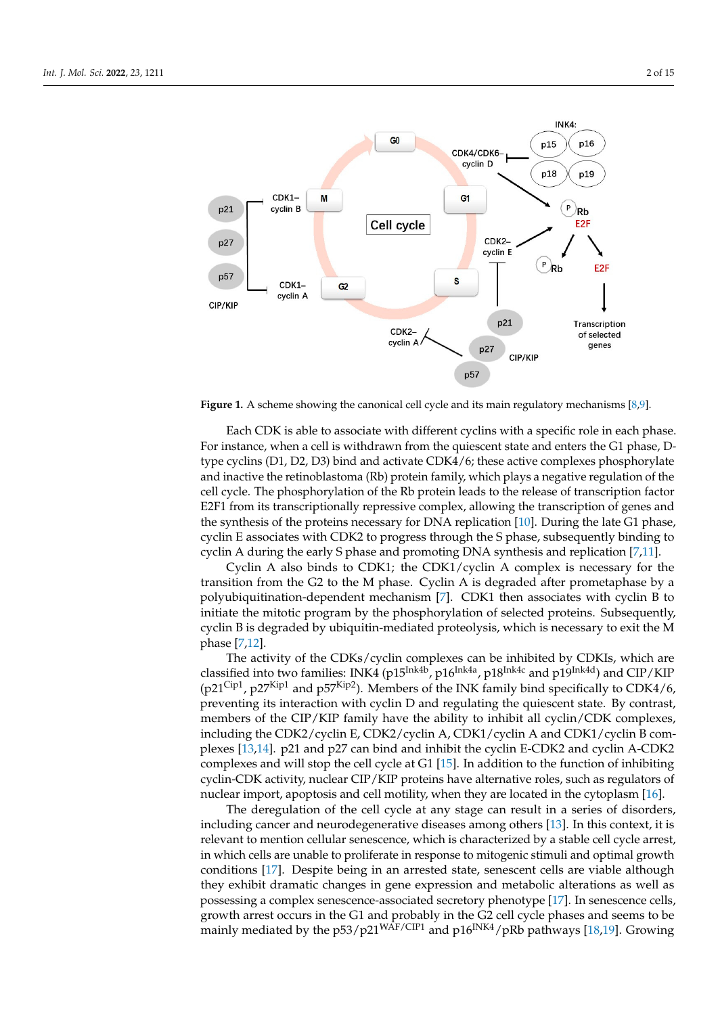<span id="page-1-0"></span>

**Figure 1.** A scheme showing the canonical cell cycle and its main regulatory mechanisms [8,9]. **Figure 1.** A scheme showing the canonical cell cycle and its main regulatory mechanisms [\[8,](#page-10-0)[9\]](#page-10-1).

Each CDK is able to associate with different cyclins with a specific role in each phase. Each CDK is able to associate with different cyclins with a specific role in each phase. For instance, when a cell is withdrawn from the quiescent state and enters the G1 phase, For instance, when a cell is withdrawn from the quiescent state and enters the G1 phase, Dtype cyclins (D1, D2, D3) bind and activate CDK4/6; these active complexes phosphorylate<br>type cyclins the utilis label and (Db) was the family which alone a mastiga applitude of the ylate and inactive the retinoblastoma (Rb) protein family, which plays a negative regula-cell cycle. The phosphorylation of the Rb protein leads to the release of transcription factor exists the phosphorylation of the Rb protein leads to the release of transcription ractor<br>E2F1 from its transcriptionally repressive complex, allowing the transcription of genes and E2F1 from its transcriptionally repressive complex, allowing the transcription of genes and the synthesis of the proteins necessary for DNA replication [\[10\]](#page-10-2). During the late G1 phase, tion of genes and the synthesis of the proteins necessary for DNA replication [10]. During cyclin E associates with CDK2 to progress through the S phase, subsequently binding to the late G1 phase, cyclin E associates with CDK2 to progress through the S phase, subse-cyclin A during the early S phase and promoting DNA synthesis and replication [\[7,](#page-9-4)[11\]](#page-10-3). and inactive the retinoblastoma (Rb) protein family, which plays a negative regulation of the

quently binding to cyclin A during the early S phase and promoting DNA synthesis and Cyclin A also binds to CDK1; the CDK1/cyclin A complex is necessary for the transition from the G2 to the M phase. Cyclin A is degraded after prometaphase by a polyubiquitination-dependent mechanism [\[7\]](#page-9-4). CDK1 then associates with cyclin B to initiate the mitotic program by the phosphorylation of selected proteins. Subsequently, cyclin B is degraded by ubiquitin-mediated proteolysis, which is necessary to exit the M  $\frac{1}{2}$  by the phosphorylation of selected proteins. Subsequently, cyclin B is  $\frac{1}{2}$  is  $\frac{1}{2}$  is  $\frac{1}{2}$  is  $\frac{1}{2}$  is  $\frac{1}{2}$  is  $\frac{1}{2}$  is  $\frac{1}{2}$  is  $\frac{1}{2}$  is  $\frac{1}{2}$  is  $\frac{1}{2}$  is  $\frac{1}{2}$  phase [\[7,](#page-9-4)[12\]](#page-10-4).

The activity of the CDKs/cyclin complexes can be inhibited by CDKIs, which are classified into two families: INK4 (p15<sup>Ink4b</sup>, p16<sup>Ink4a</sup>, p18<sup>Ink4c</sup> and p19<sup>Ink4d</sup>) and CIP/KIP (p21<sup>Cip1</sup>, p27<sup>Kip1</sup> and p57<sup>Kip2</sup>). Members of the INK family bind specifically to CDK4/6, preventing its interaction with cyclin D and regulating the quiescent state. By contrast, members of the CIP/KIP family have the ability to inhibit all cyclin/CDK complexes, including the CDK2/cyclin E, CDK2/cyclin A, CDK1/cyclin A and CDK1/cyclin B com-plexes [\[13,](#page-10-5)[14\]](#page-10-6). p21 and p27 can bind and inhibit the cyclin E-CDK2 and cyclin A-CDK2 complexes and will stop the cell [cyc](#page-10-7)le at G1 [15]. In addition to the function of inhibiting cyclin-CDK activity, nuclear CIP/KIP proteins have alternative roles, such as regulators of nuclear import, apoptosis and cell motility, when they are located in the cytoplasm [16].

The deregulation of the cell cycle at any stage can result in a series of disorders, including cancer and neurodegenerative diseases among others [13]. In this context, it is relevant to mention cellular senescence, which is characterized by a stable cell cycle arrest, in which cells are unable to proliferate in response to mitogenic stimuli and optimal growth conditions [17]. Despite being in an arrested state, senescent cells are viable although they exhibit dramatic changes in gene expression and metabolic alterations as well as possessing a complex senescence-associated secretory phenotype [\[17\]](#page-10-9). In senescence cells, growth arrest occurs in the G1 and probably in the G2 cell cycle phases and seems to be mainly mediated by the  $p53/p21^{WAF/CIP1}$  and  $p16^{INK4}/pRb$  pathways [\[18](#page-10-10)[,19\]](#page-10-11). Growing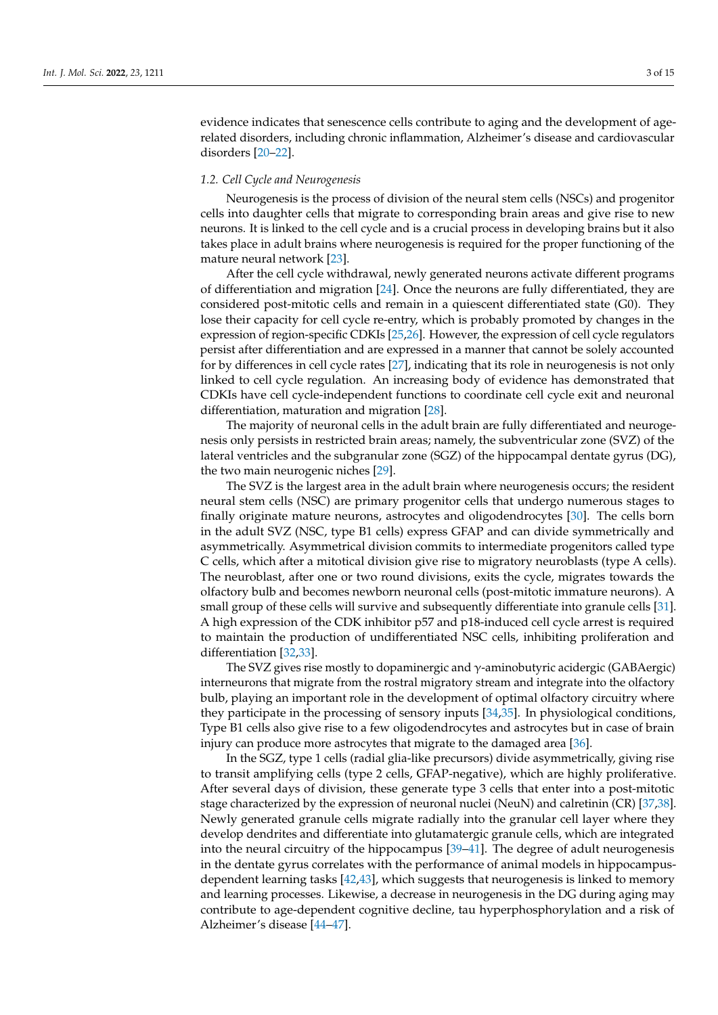evidence indicates that senescence cells contribute to aging and the development of agerelated disorders, including chronic inflammation, Alzheimer's disease and cardiovascular disorders [\[20–](#page-10-12)[22\]](#page-10-13).

## *1.2. Cell Cycle and Neurogenesis*

Neurogenesis is the process of division of the neural stem cells (NSCs) and progenitor cells into daughter cells that migrate to corresponding brain areas and give rise to new neurons. It is linked to the cell cycle and is a crucial process in developing brains but it also takes place in adult brains where neurogenesis is required for the proper functioning of the mature neural network [\[23\]](#page-10-14).

After the cell cycle withdrawal, newly generated neurons activate different programs of differentiation and migration [\[24\]](#page-10-15). Once the neurons are fully differentiated, they are considered post-mitotic cells and remain in a quiescent differentiated state (G0). They lose their capacity for cell cycle re-entry, which is probably promoted by changes in the expression of region-specific CDKIs [\[25](#page-10-16)[,26\]](#page-10-17). However, the expression of cell cycle regulators persist after differentiation and are expressed in a manner that cannot be solely accounted for by differences in cell cycle rates [\[27\]](#page-10-18), indicating that its role in neurogenesis is not only linked to cell cycle regulation. An increasing body of evidence has demonstrated that CDKIs have cell cycle-independent functions to coordinate cell cycle exit and neuronal differentiation, maturation and migration [\[28\]](#page-10-19).

The majority of neuronal cells in the adult brain are fully differentiated and neurogenesis only persists in restricted brain areas; namely, the subventricular zone (SVZ) of the lateral ventricles and the subgranular zone (SGZ) of the hippocampal dentate gyrus (DG), the two main neurogenic niches [\[29\]](#page-10-20).

The SVZ is the largest area in the adult brain where neurogenesis occurs; the resident neural stem cells (NSC) are primary progenitor cells that undergo numerous stages to finally originate mature neurons, astrocytes and oligodendrocytes [\[30\]](#page-10-21). The cells born in the adult SVZ (NSC, type B1 cells) express GFAP and can divide symmetrically and asymmetrically. Asymmetrical division commits to intermediate progenitors called type C cells, which after a mitotical division give rise to migratory neuroblasts (type A cells). The neuroblast, after one or two round divisions, exits the cycle, migrates towards the olfactory bulb and becomes newborn neuronal cells (post-mitotic immature neurons). A small group of these cells will survive and subsequently differentiate into granule cells [\[31\]](#page-10-22). A high expression of the CDK inhibitor p57 and p18-induced cell cycle arrest is required to maintain the production of undifferentiated NSC cells, inhibiting proliferation and differentiation [\[32,](#page-10-23)[33\]](#page-10-24).

The SVZ gives rise mostly to dopaminergic and  $\gamma$ -aminobutyric acidergic (GABAergic) interneurons that migrate from the rostral migratory stream and integrate into the olfactory bulb, playing an important role in the development of optimal olfactory circuitry where they participate in the processing of sensory inputs [\[34](#page-10-25)[,35\]](#page-10-26). In physiological conditions, Type B1 cells also give rise to a few oligodendrocytes and astrocytes but in case of brain injury can produce more astrocytes that migrate to the damaged area [\[36\]](#page-10-27).

In the SGZ, type 1 cells (radial glia-like precursors) divide asymmetrically, giving rise to transit amplifying cells (type 2 cells, GFAP-negative), which are highly proliferative. After several days of division, these generate type 3 cells that enter into a post-mitotic stage characterized by the expression of neuronal nuclei (NeuN) and calretinin (CR) [\[37](#page-11-0)[,38\]](#page-11-1). Newly generated granule cells migrate radially into the granular cell layer where they develop dendrites and differentiate into glutamatergic granule cells, which are integrated into the neural circuitry of the hippocampus [\[39](#page-11-2)[–41\]](#page-11-3). The degree of adult neurogenesis in the dentate gyrus correlates with the performance of animal models in hippocampusdependent learning tasks [\[42](#page-11-4)[,43\]](#page-11-5), which suggests that neurogenesis is linked to memory and learning processes. Likewise, a decrease in neurogenesis in the DG during aging may contribute to age-dependent cognitive decline, tau hyperphosphorylation and a risk of Alzheimer's disease [\[44–](#page-11-6)[47\]](#page-11-7).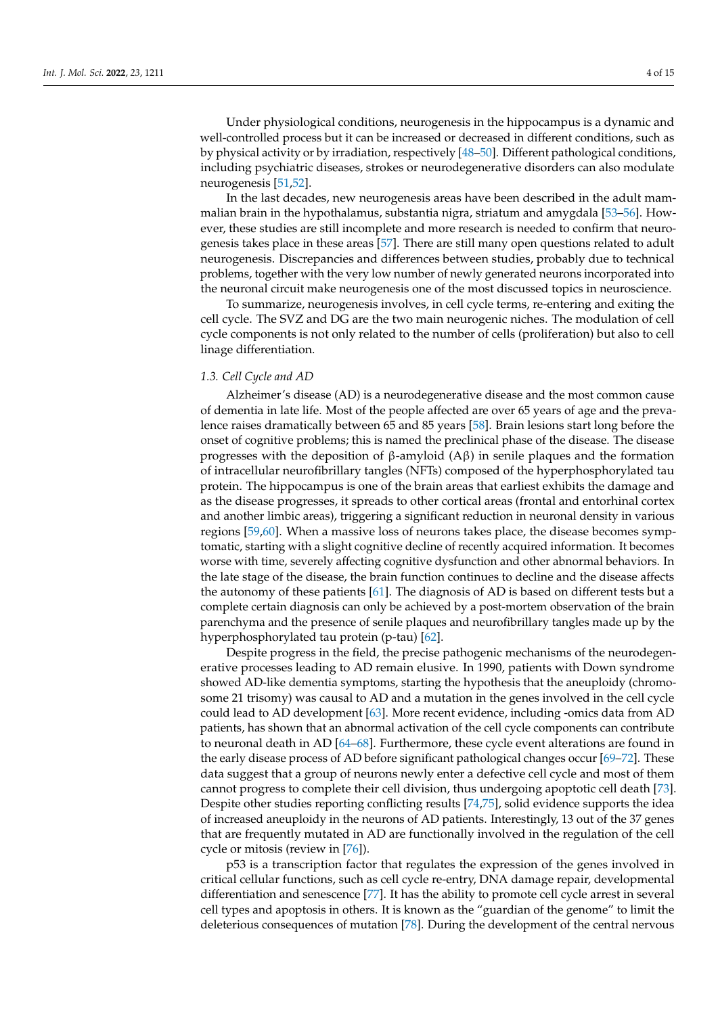Under physiological conditions, neurogenesis in the hippocampus is a dynamic and well-controlled process but it can be increased or decreased in different conditions, such as by physical activity or by irradiation, respectively [\[48](#page-11-8)[–50\]](#page-11-9). Different pathological conditions, including psychiatric diseases, strokes or neurodegenerative disorders can also modulate neurogenesis [\[51,](#page-11-10)[52\]](#page-11-11).

In the last decades, new neurogenesis areas have been described in the adult mammalian brain in the hypothalamus, substantia nigra, striatum and amygdala [\[53](#page-11-12)[–56\]](#page-11-13). However, these studies are still incomplete and more research is needed to confirm that neurogenesis takes place in these areas [\[57\]](#page-11-14). There are still many open questions related to adult neurogenesis. Discrepancies and differences between studies, probably due to technical problems, together with the very low number of newly generated neurons incorporated into the neuronal circuit make neurogenesis one of the most discussed topics in neuroscience.

To summarize, neurogenesis involves, in cell cycle terms, re-entering and exiting the cell cycle. The SVZ and DG are the two main neurogenic niches. The modulation of cell cycle components is not only related to the number of cells (proliferation) but also to cell linage differentiation.

#### *1.3. Cell Cycle and AD*

Alzheimer's disease (AD) is a neurodegenerative disease and the most common cause of dementia in late life. Most of the people affected are over 65 years of age and the prevalence raises dramatically between 65 and 85 years [\[58\]](#page-11-15). Brain lesions start long before the onset of cognitive problems; this is named the preclinical phase of the disease. The disease progresses with the deposition of β-amyloid (Aβ) in senile plaques and the formation of intracellular neurofibrillary tangles (NFTs) composed of the hyperphosphorylated tau protein. The hippocampus is one of the brain areas that earliest exhibits the damage and as the disease progresses, it spreads to other cortical areas (frontal and entorhinal cortex and another limbic areas), triggering a significant reduction in neuronal density in various regions [\[59](#page-11-16)[,60\]](#page-11-17). When a massive loss of neurons takes place, the disease becomes symptomatic, starting with a slight cognitive decline of recently acquired information. It becomes worse with time, severely affecting cognitive dysfunction and other abnormal behaviors. In the late stage of the disease, the brain function continues to decline and the disease affects the autonomy of these patients [\[61\]](#page-11-18). The diagnosis of AD is based on different tests but a complete certain diagnosis can only be achieved by a post-mortem observation of the brain parenchyma and the presence of senile plaques and neurofibrillary tangles made up by the hyperphosphorylated tau protein (p-tau) [\[62\]](#page-11-19).

Despite progress in the field, the precise pathogenic mechanisms of the neurodegenerative processes leading to AD remain elusive. In 1990, patients with Down syndrome showed AD-like dementia symptoms, starting the hypothesis that the aneuploidy (chromosome 21 trisomy) was causal to AD and a mutation in the genes involved in the cell cycle could lead to AD development [\[63\]](#page-12-0). More recent evidence, including -omics data from AD patients, has shown that an abnormal activation of the cell cycle components can contribute to neuronal death in AD [\[64](#page-12-1)[–68\]](#page-12-2). Furthermore, these cycle event alterations are found in the early disease process of AD before significant pathological changes occur [\[69–](#page-12-3)[72\]](#page-12-4). These data suggest that a group of neurons newly enter a defective cell cycle and most of them cannot progress to complete their cell division, thus undergoing apoptotic cell death [\[73\]](#page-12-5). Despite other studies reporting conflicting results [\[74,](#page-12-6)[75\]](#page-12-7), solid evidence supports the idea of increased aneuploidy in the neurons of AD patients. Interestingly, 13 out of the 37 genes that are frequently mutated in AD are functionally involved in the regulation of the cell cycle or mitosis (review in [\[76\]](#page-12-8)).

p53 is a transcription factor that regulates the expression of the genes involved in critical cellular functions, such as cell cycle re-entry, DNA damage repair, developmental differentiation and senescence [\[77\]](#page-12-9). It has the ability to promote cell cycle arrest in several cell types and apoptosis in others. It is known as the "guardian of the genome" to limit the deleterious consequences of mutation [\[78\]](#page-12-10). During the development of the central nervous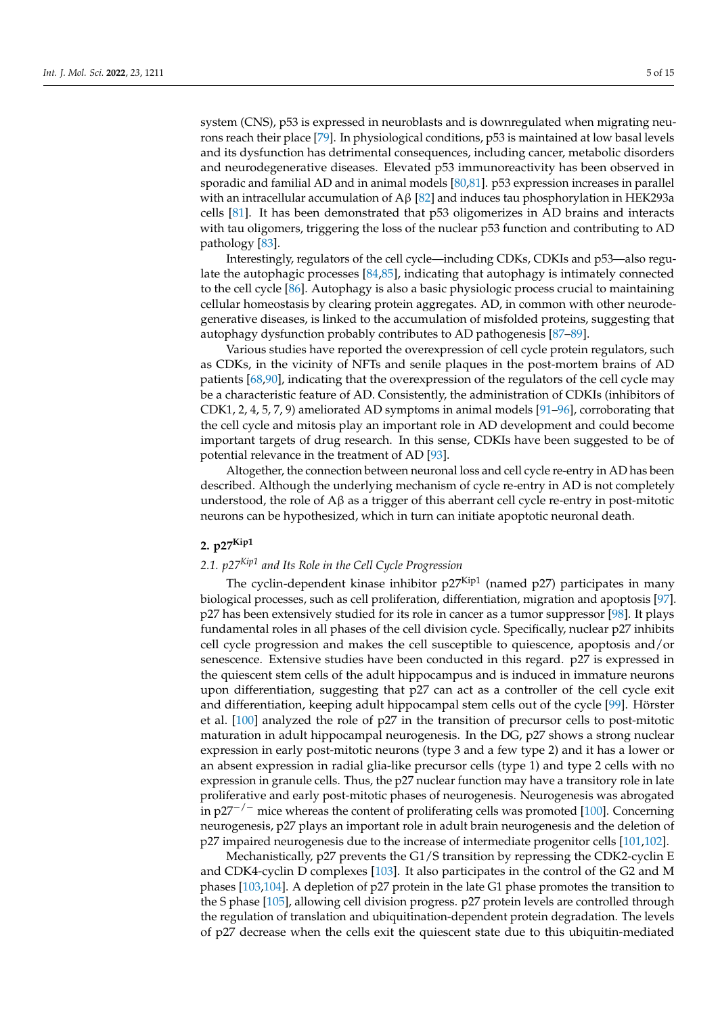system (CNS), p53 is expressed in neuroblasts and is downregulated when migrating neurons reach their place [\[79\]](#page-12-11). In physiological conditions, p53 is maintained at low basal levels and its dysfunction has detrimental consequences, including cancer, metabolic disorders and neurodegenerative diseases. Elevated p53 immunoreactivity has been observed in sporadic and familial AD and in animal models [\[80,](#page-12-12)[81\]](#page-12-13). p53 expression increases in parallel with an intracellular accumulation of  $A\beta$  [\[82\]](#page-12-14) and induces tau phosphorylation in HEK293a cells [\[81\]](#page-12-13). It has been demonstrated that p53 oligomerizes in AD brains and interacts with tau oligomers, triggering the loss of the nuclear p53 function and contributing to AD pathology [\[83\]](#page-12-15).

Interestingly, regulators of the cell cycle—including CDKs, CDKIs and p53—also regulate the autophagic processes [\[84](#page-12-16)[,85\]](#page-12-17), indicating that autophagy is intimately connected to the cell cycle [\[86\]](#page-12-18). Autophagy is also a basic physiologic process crucial to maintaining cellular homeostasis by clearing protein aggregates. AD, in common with other neurodegenerative diseases, is linked to the accumulation of misfolded proteins, suggesting that autophagy dysfunction probably contributes to AD pathogenesis [\[87](#page-12-19)[–89\]](#page-12-20).

Various studies have reported the overexpression of cell cycle protein regulators, such as CDKs, in the vicinity of NFTs and senile plaques in the post-mortem brains of AD patients [\[68,](#page-12-2)[90\]](#page-13-0), indicating that the overexpression of the regulators of the cell cycle may be a characteristic feature of AD. Consistently, the administration of CDKIs (inhibitors of CDK1, 2, 4, 5, 7, 9) ameliorated AD symptoms in animal models [\[91–](#page-13-1)[96\]](#page-13-2), corroborating that the cell cycle and mitosis play an important role in AD development and could become important targets of drug research. In this sense, CDKIs have been suggested to be of potential relevance in the treatment of AD [\[93\]](#page-13-3).

Altogether, the connection between neuronal loss and cell cycle re-entry in AD has been described. Although the underlying mechanism of cycle re-entry in AD is not completely understood, the role of  $A\beta$  as a trigger of this aberrant cell cycle re-entry in post-mitotic neurons can be hypothesized, which in turn can initiate apoptotic neuronal death.

### **2. p27Kip1**

# *2.1. p27Kip1 and Its Role in the Cell Cycle Progression*

The cyclin-dependent kinase inhibitor  $p27^{Kip1}$  (named p27) participates in many biological processes, such as cell proliferation, differentiation, migration and apoptosis [\[97\]](#page-13-4). p27 has been extensively studied for its role in cancer as a tumor suppressor [\[98\]](#page-13-5). It plays fundamental roles in all phases of the cell division cycle. Specifically, nuclear p27 inhibits cell cycle progression and makes the cell susceptible to quiescence, apoptosis and/or senescence. Extensive studies have been conducted in this regard. p27 is expressed in the quiescent stem cells of the adult hippocampus and is induced in immature neurons upon differentiation, suggesting that p27 can act as a controller of the cell cycle exit and differentiation, keeping adult hippocampal stem cells out of the cycle [\[99\]](#page-13-6). Hörster et al. [\[100\]](#page-13-7) analyzed the role of p27 in the transition of precursor cells to post-mitotic maturation in adult hippocampal neurogenesis. In the DG, p27 shows a strong nuclear expression in early post-mitotic neurons (type 3 and a few type 2) and it has a lower or an absent expression in radial glia-like precursor cells (type 1) and type 2 cells with no expression in granule cells. Thus, the p27 nuclear function may have a transitory role in late proliferative and early post-mitotic phases of neurogenesis. Neurogenesis was abrogated in p27<sup>-/-</sup> mice whereas the content of proliferating cells was promoted [\[100\]](#page-13-7). Concerning neurogenesis, p27 plays an important role in adult brain neurogenesis and the deletion of p27 impaired neurogenesis due to the increase of intermediate progenitor cells [\[101](#page-13-8)[,102\]](#page-13-9).

Mechanistically, p27 prevents the G1/S transition by repressing the CDK2-cyclin E and CDK4-cyclin D complexes [\[103\]](#page-13-10). It also participates in the control of the G2 and M phases [\[103,](#page-13-10)[104\]](#page-13-11). A depletion of p27 protein in the late G1 phase promotes the transition to the S phase [\[105\]](#page-13-12), allowing cell division progress. p27 protein levels are controlled through the regulation of translation and ubiquitination-dependent protein degradation. The levels of p27 decrease when the cells exit the quiescent state due to this ubiquitin-mediated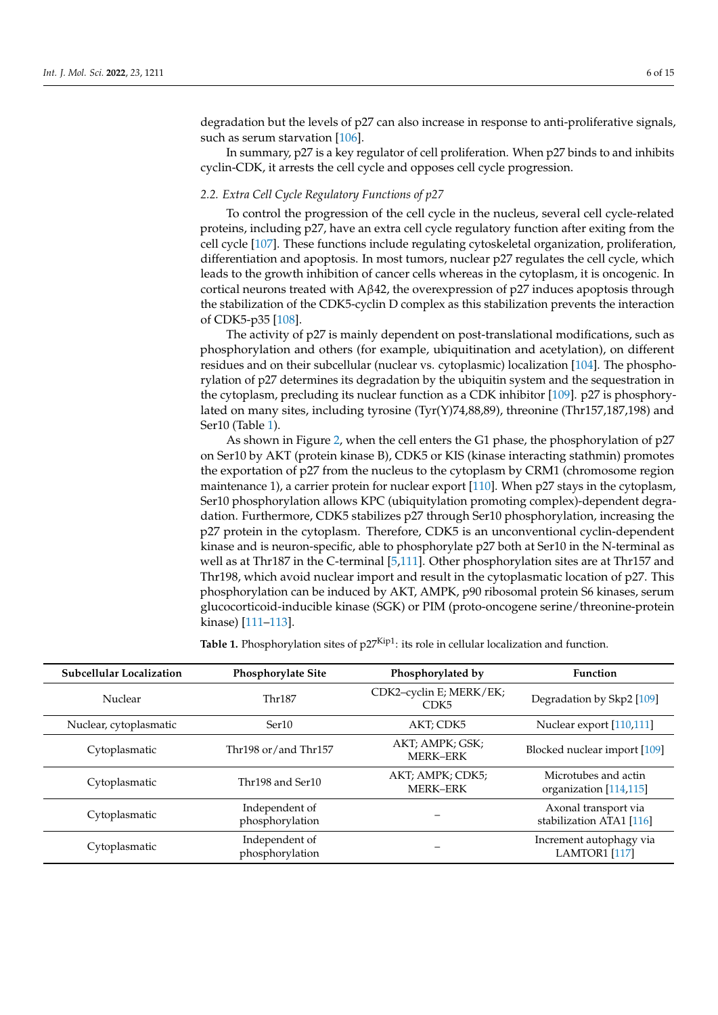degradation but the levels of p27 can also increase in response to anti-proliferative signals, such as serum starvation [\[106\]](#page-13-13).

In summary, p27 is a key regulator of cell proliferation. When p27 binds to and inhibits cyclin-CDK, it arrests the cell cycle and opposes cell cycle progression.

### *2.2. Extra Cell Cycle Regulatory Functions of p27*

To control the progression of the cell cycle in the nucleus, several cell cycle-related proteins, including p27, have an extra cell cycle regulatory function after exiting from the cell cycle [\[107\]](#page-13-14). These functions include regulating cytoskeletal organization, proliferation, differentiation and apoptosis. In most tumors, nuclear p27 regulates the cell cycle, which leads to the growth inhibition of cancer cells whereas in the cytoplasm, it is oncogenic. In cortical neurons treated with  $A\beta 42$ , the overexpression of p27 induces apoptosis through the stabilization of the CDK5-cyclin D complex as this stabilization prevents the interaction of CDK5-p35 [\[108\]](#page-13-15).

The activity of p27 is mainly dependent on post-translational modifications, such as phosphorylation and others (for example, ubiquitination and acetylation), on different residues and on their subcellular (nuclear vs. cytoplasmic) localization [\[104\]](#page-13-11). The phosphorylation of p27 determines its degradation by the ubiquitin system and the sequestration in the cytoplasm, precluding its nuclear function as a CDK inhibitor [\[109\]](#page-13-16). p27 is phosphorylated on many sites, including tyrosine (Tyr(Y)74,88,89), threonine (Thr157,187,198) and Ser10 (Table [1\)](#page-5-0).

As shown in Figure [2,](#page-6-0) when the cell enters the G1 phase, the phosphorylation of p27 on Ser10 by AKT (protein kinase B), CDK5 or KIS (kinase interacting stathmin) promotes the exportation of p27 from the nucleus to the cytoplasm by CRM1 (chromosome region maintenance 1), a carrier protein for nuclear export [\[110\]](#page-13-17). When p27 stays in the cytoplasm, Ser10 phosphorylation allows KPC (ubiquitylation promoting complex)-dependent degradation. Furthermore, CDK5 stabilizes p27 through Ser10 phosphorylation, increasing the p27 protein in the cytoplasm. Therefore, CDK5 is an unconventional cyclin-dependent kinase and is neuron-specific, able to phosphorylate p27 both at Ser10 in the N-terminal as well as at Thr187 in the C-terminal [\[5,](#page-9-5)[111\]](#page-13-18). Other phosphorylation sites are at Thr157 and Thr198, which avoid nuclear import and result in the cytoplasmatic location of p27. This phosphorylation can be induced by AKT, AMPK, p90 ribosomal protein S6 kinases, serum glucocorticoid-inducible kinase (SGK) or PIM (proto-oncogene serine/threonine-protein kinase) [\[111–](#page-13-18)[113\]](#page-13-19).

| <b>Subcellular Localization</b> | Phosphorylate Site                | Phosphorylated by                           | <b>Function</b>                                  |
|---------------------------------|-----------------------------------|---------------------------------------------|--------------------------------------------------|
| Nuclear                         | Thr187                            | CDK2-cyclin E; MERK/EK;<br>CDK <sub>5</sub> | Degradation by Skp2 [109]                        |
| Nuclear, cytoplasmatic          | Ser <sub>10</sub>                 | AKT; CDK5                                   | Nuclear export [110,111]                         |
| Cytoplasmatic                   | Thr198 or/and Thr157              | AKT; AMPK; GSK;<br><b>MERK-ERK</b>          | Blocked nuclear import [109]                     |
| Cytoplasmatic                   | Thr198 and Ser10                  | AKT; AMPK; CDK5;<br><b>MERK-ERK</b>         | Microtubes and actin<br>organization [114,115]   |
| Cytoplasmatic                   | Independent of<br>phosphorylation |                                             | Axonal transport via<br>stabilization ATA1 [116] |
| Cytoplasmatic                   | Independent of<br>phosphorylation |                                             | Increment autophagy via<br>LAMTOR1 [117]         |

<span id="page-5-0"></span>**Table 1.** Phosphorylation sites of  $p27^{Kip1}$ : its role in cellular localization and function.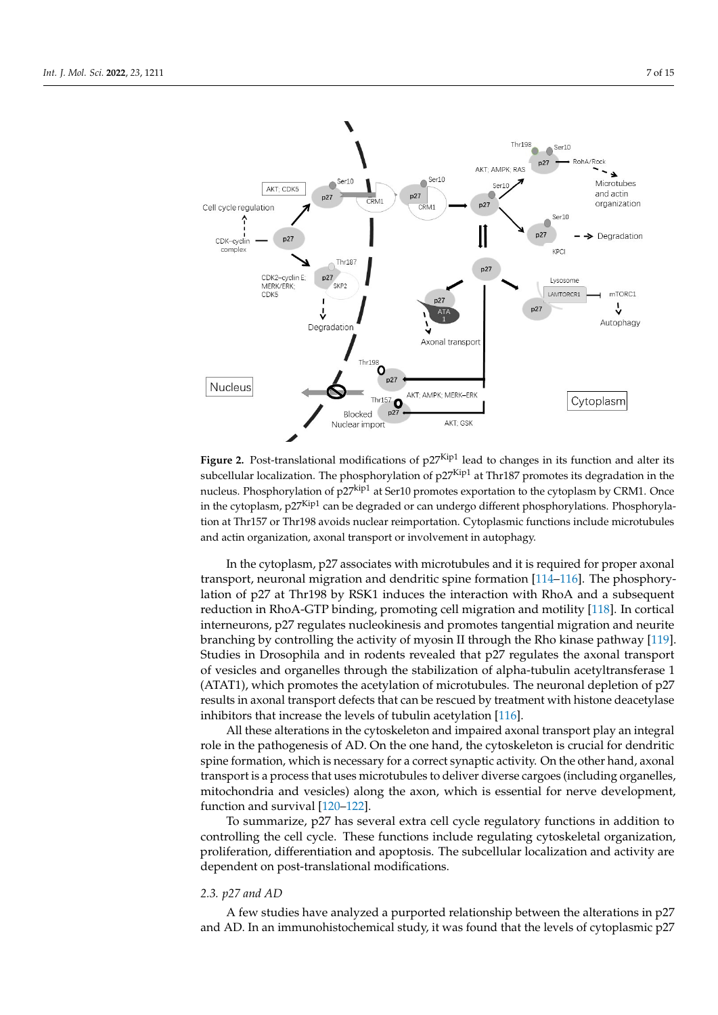<span id="page-6-0"></span>

**Figure 2.** Post-translational modifications of  $p27$ Kip1 lead to changes in its function and alter its subcellular localization. The phosphorylation of p27Kip1 at Thr187 promotes its degradation in the nucleus. Phosphorylation of p27<sup>kip1</sup> at Ser10 promotes exportation to the cytoplasm by CRM1. Once in the cytoplasm,  $p27<sup>Kip1</sup>$  can be degraded or can undergo different phosphorylations. Phosphorylation at Thr157 or Thr198 avoids nuclear reimportation. Cytoplasmic functions include microtubules actin organization, axonal transport or involvement in autophagy. and actin organization, axonal transport or involvement in autophagy.

In the cytoplasm, p27 associates with microtubules and it is required for proper axonal transport, neuronal migra[tion](#page-13-20) and dendritic spine formation [\[114](#page-14-1)-116]. The phosphorylation of p27 at Thr198 by RSK1 induces the interaction with RhoA and a subsequent reduction in RhoA-GTP binding, promoting cell migration and motility [[118\].](#page-14-3) In cortical interneurons, p27 regulates nucleokinesis and promotes tangential migration and neurite interneurons, p27 regulates nucleokinesis and promotes tangential migration and neurite branching by controlling the activity of myosin II through the Rho kinase pathway [[119\].](#page-14-4) branching by controlling the activity of myosin II through the Rho kinase pathway [119]. Studies in Drosophila and in rodents revealed that p27 regulates the axonal transport vesicles and organelles through the stabilization of alpha-tubulin acetyltransferase 1 of vesicles and organelles through the stabilization of alpha-tubulin acetyltransferase 1 (ATAT1), which promotes the acetylation of microtubules. The neuronal depletion of p27 (ATAT1), which promotes the acetylation of microtubules. The neuronal depletion of p27 results in axonal transport defects that can be rescued by treatment with histone deacetylase inhibitors that increase the levels of tubulin acetylation  $[116]$ .

All these alterations in the cytoskeleton and impaired axonal transport play an integral role in the pathogenesis of AD. On the one hand, the cytoskeleton is crucial for dendritic spine formation, which is necessary for a correct synaptic activity. On the other hand, axonal transport is a process that uses microtubules to deliver diverse cargoes (including organelles, mitochondria and vesicles) along the axon, which is essential for nerve development, function and survival  $[120-122]$  $[120-122]$ .

To summarize, p27 has several extra cell cycle regulatory functions in addition to To summarize, p27 has several extra cell cycle regulatory functions in addition to controlling the cell cycle. These functions include regulating cytoskeletal organization, controlling the cell cycle. These functions include regulating cytoskeletal organization, proliferation, differentiation and apoptosis. The subcellular localization and activity are proliferation, differentiation and apoptosis. The subcellular localization and activity are dependent on post-translational modifications. dependent on post-translational modifications.

# *2.3. p27 and AD 2.3. p27 and AD*

 $\overline{AB}$  for studies have analyzed a purported relationship between the alterations in p27 and AD. In an immunohistochemical study, it was found that the levels of cytoplasmic p27 A few studies have analyzed a purported relationship between the alterations in p27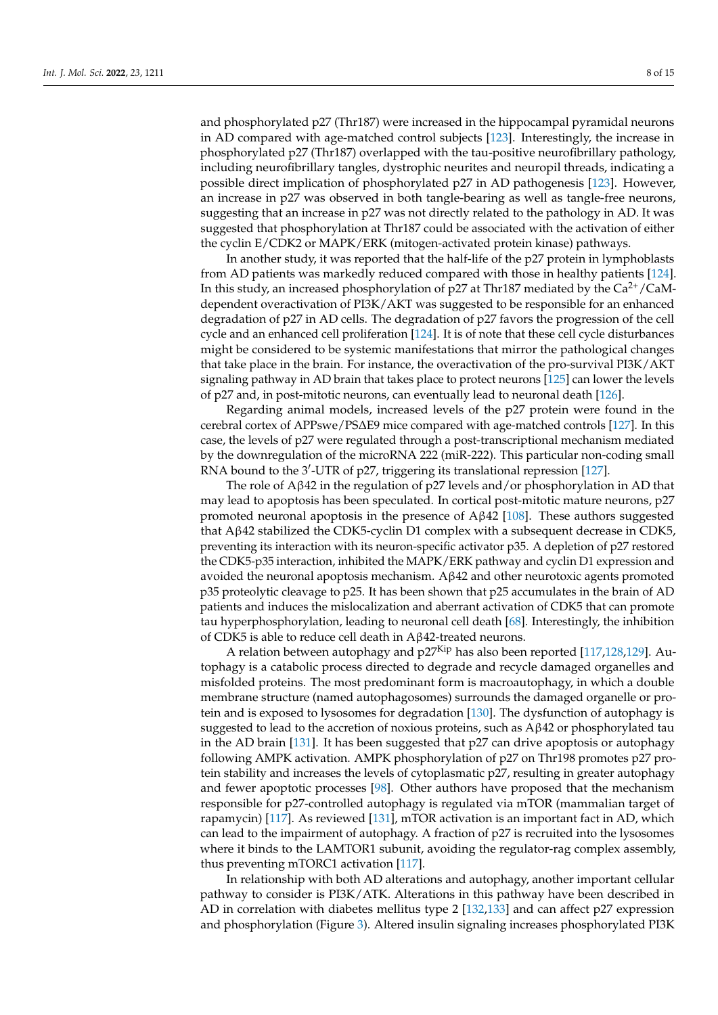and phosphorylated p27 (Thr187) were increased in the hippocampal pyramidal neurons in AD compared with age-matched control subjects [\[123\]](#page-14-7). Interestingly, the increase in phosphorylated p27 (Thr187) overlapped with the tau-positive neurofibrillary pathology, including neurofibrillary tangles, dystrophic neurites and neuropil threads, indicating a possible direct implication of phosphorylated p27 in AD pathogenesis [\[123\]](#page-14-7). However, an increase in p27 was observed in both tangle-bearing as well as tangle-free neurons, suggesting that an increase in p27 was not directly related to the pathology in AD. It was suggested that phosphorylation at Thr187 could be associated with the activation of either the cyclin E/CDK2 or MAPK/ERK (mitogen-activated protein kinase) pathways.

In another study, it was reported that the half-life of the p27 protein in lymphoblasts from AD patients was markedly reduced compared with those in healthy patients [\[124\]](#page-14-8). In this study, an increased phosphorylation of  $p27$  at Thr187 mediated by the  $Ca^{2+}/CaM$ dependent overactivation of PI3K/AKT was suggested to be responsible for an enhanced degradation of p27 in AD cells. The degradation of p27 favors the progression of the cell cycle and an enhanced cell proliferation [\[124\]](#page-14-8). It is of note that these cell cycle disturbances might be considered to be systemic manifestations that mirror the pathological changes that take place in the brain. For instance, the overactivation of the pro-survival PI3K/AKT signaling pathway in AD brain that takes place to protect neurons [\[125\]](#page-14-9) can lower the levels of p27 and, in post-mitotic neurons, can eventually lead to neuronal death [\[126\]](#page-14-10).

Regarding animal models, increased levels of the p27 protein were found in the cerebral cortex of APPswe/PS∆E9 mice compared with age-matched controls [\[127\]](#page-14-11). In this case, the levels of p27 were regulated through a post-transcriptional mechanism mediated by the downregulation of the microRNA 222 (miR-222). This particular non-coding small RNA bound to the 3'-UTR of p27, triggering its translational repression [\[127\]](#page-14-11).

The role of Aβ42 in the regulation of p27 levels and/or phosphorylation in AD that may lead to apoptosis has been speculated. In cortical post-mitotic mature neurons, p27 promoted neuronal apoptosis in the presence of  $Aβ42$  [\[108\]](#page-13-15). These authors suggested that Aβ42 stabilized the CDK5-cyclin D1 complex with a subsequent decrease in CDK5, preventing its interaction with its neuron-specific activator p35. A depletion of p27 restored the CDK5-p35 interaction, inhibited the MAPK/ERK pathway and cyclin D1 expression and avoided the neuronal apoptosis mechanism. Aβ42 and other neurotoxic agents promoted p35 proteolytic cleavage to p25. It has been shown that p25 accumulates in the brain of AD patients and induces the mislocalization and aberrant activation of CDK5 that can promote tau hyperphosphorylation, leading to neuronal cell death [\[68\]](#page-12-2). Interestingly, the inhibition of CDK5 is able to reduce cell death in Aβ42-treated neurons.

A relation between autophagy and p27<sup>Kip</sup> has also been reported [\[117](#page-14-2)[,128](#page-14-12)[,129\]](#page-14-13). Autophagy is a catabolic process directed to degrade and recycle damaged organelles and misfolded proteins. The most predominant form is macroautophagy, in which a double membrane structure (named autophagosomes) surrounds the damaged organelle or protein and is exposed to lysosomes for degradation [\[130\]](#page-14-14). The dysfunction of autophagy is suggested to lead to the accretion of noxious proteins, such as Aβ42 or phosphorylated tau in the AD brain  $[131]$ . It has been suggested that  $p27$  can drive apoptosis or autophagy following AMPK activation. AMPK phosphorylation of p27 on Thr198 promotes p27 protein stability and increases the levels of cytoplasmatic p27, resulting in greater autophagy and fewer apoptotic processes [\[98\]](#page-13-5). Other authors have proposed that the mechanism responsible for p27-controlled autophagy is regulated via mTOR (mammalian target of rapamycin) [\[117\]](#page-14-2). As reviewed [\[131\]](#page-14-15), mTOR activation is an important fact in AD, which can lead to the impairment of autophagy. A fraction of p27 is recruited into the lysosomes where it binds to the LAMTOR1 subunit, avoiding the regulator-rag complex assembly, thus preventing mTORC1 activation [\[117\]](#page-14-2).

In relationship with both AD alterations and autophagy, another important cellular pathway to consider is PI3K/ATK. Alterations in this pathway have been described in AD in correlation with diabetes mellitus type 2 [\[132,](#page-14-16)[133\]](#page-14-17) and can affect p27 expression and phosphorylation (Figure [3\)](#page-8-0). Altered insulin signaling increases phosphorylated PI3K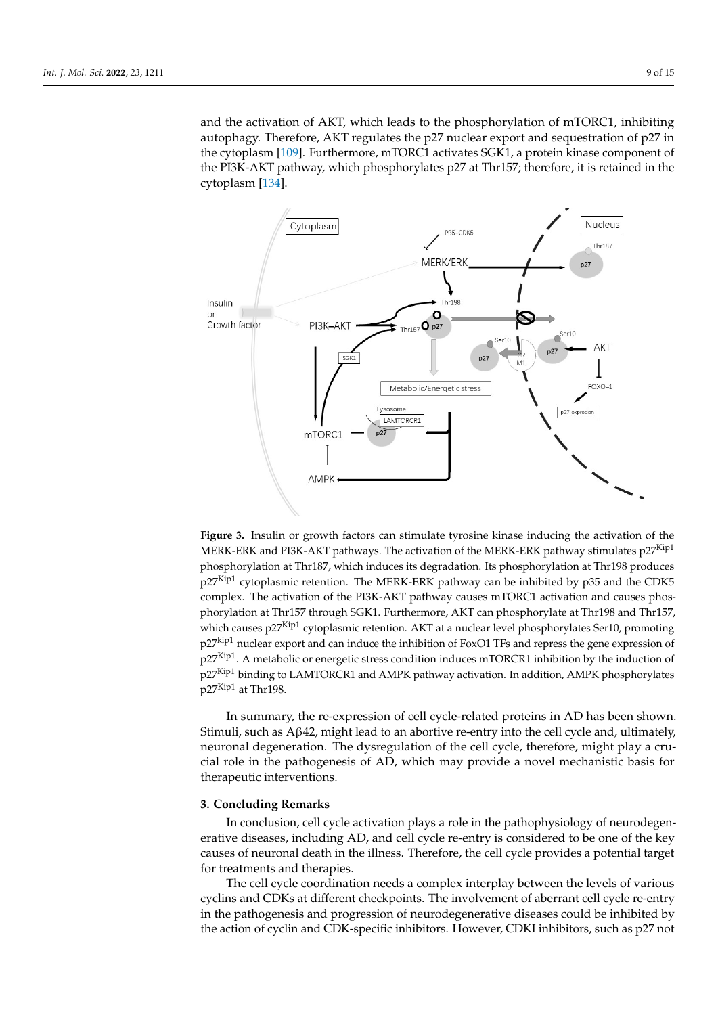and the activation of AKT, which leads to the phosphorylation of mTORC1, inhibiting autophagy. Therefore, AKT regulates the p27 nuclear export and sequestration of p27 in the cytoplasm [\[109\]](#page-13-16). Furthermore, mTORC1 activates SGK1, a protein kinase component of the PI3K-AKT pathway, which phosphorylates p27 at Thr157; therefore, it is retained in the cytoplasm [\[134\]](#page-14-18).

<span id="page-8-0"></span>

Figure 3. Insulin or growth factors can stimulate tyrosine kinase inducing the activation of the MERK-ERK and PI3K-AKT pathways. The activation of the MERK-ERK pathway stimulates  $p27^{Kip1}$  $p_1$  phosphorylation at Thr187, which is degraded to degrade the degradation. Its phosphorylation at Thr198, which is phosphorylation at Thr198, which is phosphorylation at Thr198, which is phosphorylation at Thr198, whi phosphorylation at Thr187, which induces its degradation. Its phosphorylation at Thr198 produces  $e^{-Kint}$ p27<sup>Kip1</sup> cytoplasmic retention. The MERK-ERK pathway can be inhibited by p35 and the CDK5 complex. The activation of the PI3K-AKT pathway causes mTORC1 activation and causes phosphorylation at Thr157 through SGK1. Furthermore, AKT can phosphorylate at Thr198 and Thr157, which causes  $p27<sup>Kip1</sup>$  cytoplasmic retention. AKT at a nuclear level phosphorylates Ser10, promoting which causes p27<sup>Kip1</sup> cytoplasmic retention. AKT at a nuclear level phosphorylates Ser10, promoting p27<sup>kip1</sup> nuclear export and can induce the inhibition of FoxO1 TFs and repress the gene expression of p27Kip1. A metabolic or energetic stress condition induces mTORCR1 inhibition by the induction of p27Kip1 binding to LAMTORCR1 and AMPK pathway activation. In addition, AMPK phosphorylates p27<sup>Kip1</sup> at Thr198.

In summary, the re-expression of cell cycle-related proteins in AD has been shown. Stimuli, such as Aβ42, might lead to an abortive re-entry into the cell cycle and, ultimately, neuronal degeneration. The dysregulation of the cell cycle, therefore, might play a crucial role in the pathogenesis of AD, which may provide a novel mechanistic basis for therapeutic interventions.

#### In change in the pathology of neurone plays a role in the pathology of neurone pathophysics in the pathophysics **3. Concluding Remarks**

In conclusion, cell cycle activation plays a role in the pathophysiology of neurodegenerative diseases, including AD, and cell cycle re-entry is considered to be one of the key causes of neuronal death in the illness. Therefore, the cell cycle provides a potential target for treatments and therapies.

The cell cycle coordination needs a complex interplay between the levels of various cyclins and CDKs at different checkpoints. The involvement of aberrant cell cycle re-entry in the pathogenesis and progression of neurodegenerative diseases could be inhibited by the action of cyclin and CDK-specific inhibitors. However, CDKI inhibitors, such as p27 not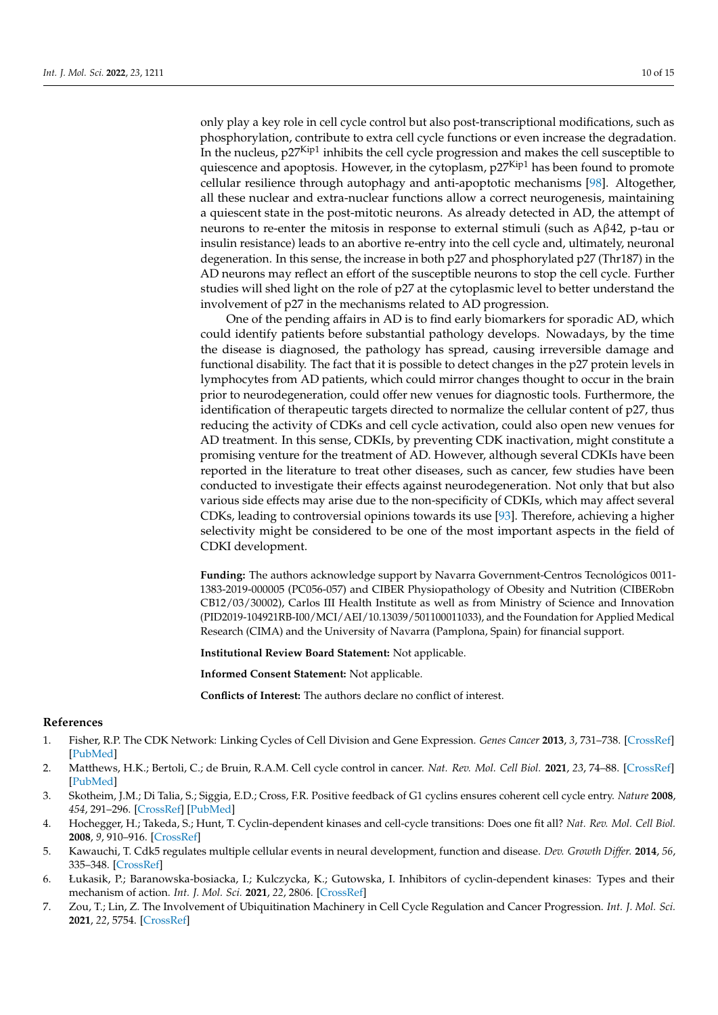only play a key role in cell cycle control but also post-transcriptional modifications, such as phosphorylation, contribute to extra cell cycle functions or even increase the degradation. In the nucleus, p27Kip1 inhibits the cell cycle progression and makes the cell susceptible to quiescence and apoptosis. However, in the cytoplasm,  $p27<sup>Kip1</sup>$  has been found to promote cellular resilience through autophagy and anti-apoptotic mechanisms [\[98\]](#page-13-5). Altogether, all these nuclear and extra-nuclear functions allow a correct neurogenesis, maintaining a quiescent state in the post-mitotic neurons. As already detected in AD, the attempt of neurons to re-enter the mitosis in response to external stimuli (such as Aβ42, p-tau or insulin resistance) leads to an abortive re-entry into the cell cycle and, ultimately, neuronal degeneration. In this sense, the increase in both p27 and phosphorylated p27 (Thr187) in the AD neurons may reflect an effort of the susceptible neurons to stop the cell cycle. Further studies will shed light on the role of p27 at the cytoplasmic level to better understand the involvement of p27 in the mechanisms related to AD progression.

One of the pending affairs in AD is to find early biomarkers for sporadic AD, which could identify patients before substantial pathology develops. Nowadays, by the time the disease is diagnosed, the pathology has spread, causing irreversible damage and functional disability. The fact that it is possible to detect changes in the p27 protein levels in lymphocytes from AD patients, which could mirror changes thought to occur in the brain prior to neurodegeneration, could offer new venues for diagnostic tools. Furthermore, the identification of therapeutic targets directed to normalize the cellular content of p27, thus reducing the activity of CDKs and cell cycle activation, could also open new venues for AD treatment. In this sense, CDKIs, by preventing CDK inactivation, might constitute a promising venture for the treatment of AD. However, although several CDKIs have been reported in the literature to treat other diseases, such as cancer, few studies have been conducted to investigate their effects against neurodegeneration. Not only that but also various side effects may arise due to the non-specificity of CDKIs, which may affect several CDKs, leading to controversial opinions towards its use [\[93\]](#page-13-3). Therefore, achieving a higher selectivity might be considered to be one of the most important aspects in the field of CDKI development.

**Funding:** The authors acknowledge support by Navarra Government-Centros Tecnológicos 0011- 1383-2019-000005 (PC056-057) and CIBER Physiopathology of Obesity and Nutrition (CIBERobn CB12/03/30002), Carlos III Health Institute as well as from Ministry of Science and Innovation (PID2019-104921RB-I00/MCI/AEI/10.13039/501100011033), and the Foundation for Applied Medical Research (CIMA) and the University of Navarra (Pamplona, Spain) for financial support.

**Institutional Review Board Statement:** Not applicable.

**Informed Consent Statement:** Not applicable.

**Conflicts of Interest:** The authors declare no conflict of interest.

#### **References**

- <span id="page-9-0"></span>1. Fisher, R.P. The CDK Network: Linking Cycles of Cell Division and Gene Expression. *Genes Cancer* **2013**, *3*, 731–738. [\[CrossRef\]](http://doi.org/10.1177/1947601912473308) [\[PubMed\]](http://www.ncbi.nlm.nih.gov/pubmed/23634260)
- 2. Matthews, H.K.; Bertoli, C.; de Bruin, R.A.M. Cell cycle control in cancer. *Nat. Rev. Mol. Cell Biol.* **2021**, *23*, 74–88. [\[CrossRef\]](http://doi.org/10.1038/s41580-021-00404-3) [\[PubMed\]](http://www.ncbi.nlm.nih.gov/pubmed/34508254)
- <span id="page-9-1"></span>3. Skotheim, J.M.; Di Talia, S.; Siggia, E.D.; Cross, F.R. Positive feedback of G1 cyclins ensures coherent cell cycle entry. *Nature* **2008**, *454*, 291–296. [\[CrossRef\]](http://doi.org/10.1038/nature07118) [\[PubMed\]](http://www.ncbi.nlm.nih.gov/pubmed/18633409)
- <span id="page-9-2"></span>4. Hochegger, H.; Takeda, S.; Hunt, T. Cyclin-dependent kinases and cell-cycle transitions: Does one fit all? *Nat. Rev. Mol. Cell Biol.* **2008**, *9*, 910–916. [\[CrossRef\]](http://doi.org/10.1038/nrm2510)
- <span id="page-9-5"></span>5. Kawauchi, T. Cdk5 regulates multiple cellular events in neural development, function and disease. *Dev. Growth Differ.* **2014**, *56*, 335–348. [\[CrossRef\]](http://doi.org/10.1111/dgd.12138)
- <span id="page-9-3"></span>6. Łukasik, P.; Baranowska-bosiacka, I.; Kulczycka, K.; Gutowska, I. Inhibitors of cyclin-dependent kinases: Types and their mechanism of action. *Int. J. Mol. Sci.* **2021**, *22*, 2806. [\[CrossRef\]](http://doi.org/10.3390/ijms22062806)
- <span id="page-9-4"></span>7. Zou, T.; Lin, Z. The Involvement of Ubiquitination Machinery in Cell Cycle Regulation and Cancer Progression. *Int. J. Mol. Sci.* **2021**, *22*, 5754. [\[CrossRef\]](http://doi.org/10.3390/ijms22115754)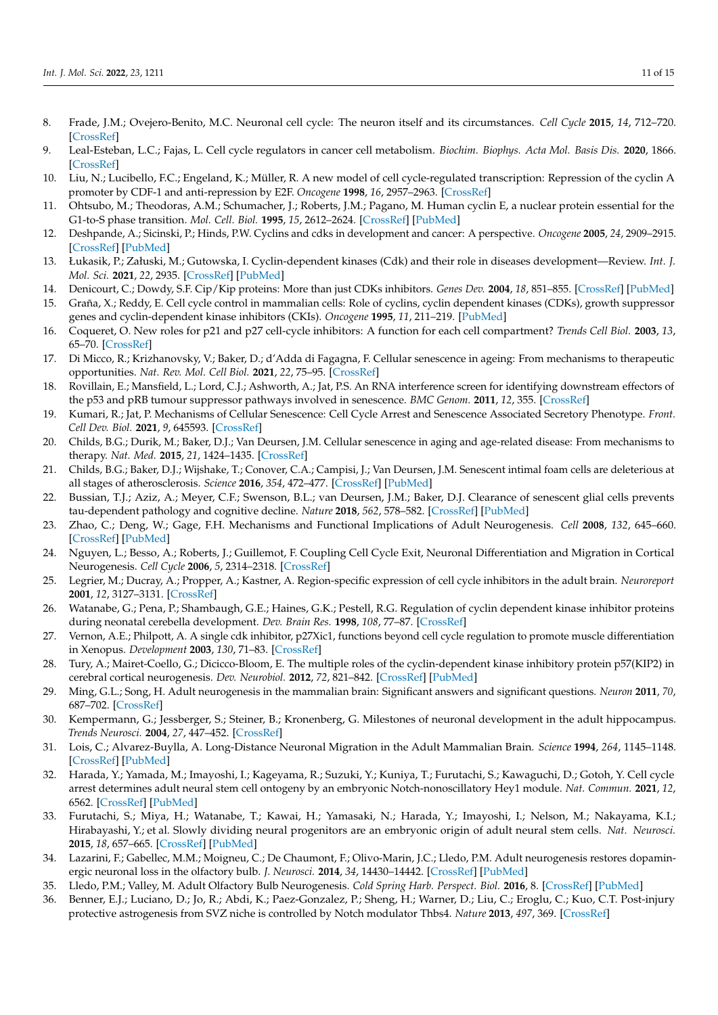- <span id="page-10-0"></span>8. Frade, J.M.; Ovejero-Benito, M.C. Neuronal cell cycle: The neuron itself and its circumstances. *Cell Cycle* **2015**, *14*, 712–720. [\[CrossRef\]](http://doi.org/10.1080/15384101.2015.1004937)
- <span id="page-10-1"></span>9. Leal-Esteban, L.C.; Fajas, L. Cell cycle regulators in cancer cell metabolism. *Biochim. Biophys. Acta Mol. Basis Dis.* **2020**, 1866. [\[CrossRef\]](http://doi.org/10.1016/j.bbadis.2020.165715)
- <span id="page-10-2"></span>10. Liu, N.; Lucibello, F.C.; Engeland, K.; Müller, R. A new model of cell cycle-regulated transcription: Repression of the cyclin A promoter by CDF-1 and anti-repression by E2F. *Oncogene* **1998**, *16*, 2957–2963. [\[CrossRef\]](http://doi.org/10.1038/sj.onc.1201838)
- <span id="page-10-3"></span>11. Ohtsubo, M.; Theodoras, A.M.; Schumacher, J.; Roberts, J.M.; Pagano, M. Human cyclin E, a nuclear protein essential for the G1-to-S phase transition. *Mol. Cell. Biol.* **1995**, *15*, 2612–2624. [\[CrossRef\]](http://doi.org/10.1128/MCB.15.5.2612) [\[PubMed\]](http://www.ncbi.nlm.nih.gov/pubmed/7739542)
- <span id="page-10-4"></span>12. Deshpande, A.; Sicinski, P.; Hinds, P.W. Cyclins and cdks in development and cancer: A perspective. *Oncogene* **2005**, *24*, 2909–2915. [\[CrossRef\]](http://doi.org/10.1038/sj.onc.1208618) [\[PubMed\]](http://www.ncbi.nlm.nih.gov/pubmed/15838524)
- <span id="page-10-5"></span>13. Łukasik, P.; Załuski, M.; Gutowska, I. Cyclin-dependent kinases (Cdk) and their role in diseases development—Review. *Int. J. Mol. Sci.* **2021**, *22*, 2935. [\[CrossRef\]](http://doi.org/10.3390/ijms22062935) [\[PubMed\]](http://www.ncbi.nlm.nih.gov/pubmed/33805800)
- <span id="page-10-6"></span>14. Denicourt, C.; Dowdy, S.F. Cip/Kip proteins: More than just CDKs inhibitors. *Genes Dev.* **2004**, *18*, 851–855. [\[CrossRef\]](http://doi.org/10.1101/gad.1205304) [\[PubMed\]](http://www.ncbi.nlm.nih.gov/pubmed/15107401)
- <span id="page-10-7"></span>15. Graña, X.; Reddy, E. Cell cycle control in mammalian cells: Role of cyclins, cyclin dependent kinases (CDKs), growth suppressor genes and cyclin-dependent kinase inhibitors (CKIs). *Oncogene* **1995**, *11*, 211–219. [\[PubMed\]](http://www.ncbi.nlm.nih.gov/pubmed/7624138)
- <span id="page-10-8"></span>16. Coqueret, O. New roles for p21 and p27 cell-cycle inhibitors: A function for each cell compartment? *Trends Cell Biol.* **2003**, *13*, 65–70. [\[CrossRef\]](http://doi.org/10.1016/S0962-8924(02)00043-0)
- <span id="page-10-9"></span>17. Di Micco, R.; Krizhanovsky, V.; Baker, D.; d'Adda di Fagagna, F. Cellular senescence in ageing: From mechanisms to therapeutic opportunities. *Nat. Rev. Mol. Cell Biol.* **2021**, *22*, 75–95. [\[CrossRef\]](http://doi.org/10.1038/s41580-020-00314-w)
- <span id="page-10-10"></span>18. Rovillain, E.; Mansfield, L.; Lord, C.J.; Ashworth, A.; Jat, P.S. An RNA interference screen for identifying downstream effectors of the p53 and pRB tumour suppressor pathways involved in senescence. *BMC Genom.* **2011**, *12*, 355. [\[CrossRef\]](http://doi.org/10.1186/1471-2164-12-355)
- <span id="page-10-11"></span>19. Kumari, R.; Jat, P. Mechanisms of Cellular Senescence: Cell Cycle Arrest and Senescence Associated Secretory Phenotype. *Front. Cell Dev. Biol.* **2021**, *9*, 645593. [\[CrossRef\]](http://doi.org/10.3389/fcell.2021.645593)
- <span id="page-10-12"></span>20. Childs, B.G.; Durik, M.; Baker, D.J.; Van Deursen, J.M. Cellular senescence in aging and age-related disease: From mechanisms to therapy. *Nat. Med.* **2015**, *21*, 1424–1435. [\[CrossRef\]](http://doi.org/10.1038/nm.4000)
- 21. Childs, B.G.; Baker, D.J.; Wijshake, T.; Conover, C.A.; Campisi, J.; Van Deursen, J.M. Senescent intimal foam cells are deleterious at all stages of atherosclerosis. *Science* **2016**, *354*, 472–477. [\[CrossRef\]](http://doi.org/10.1126/science.aaf6659) [\[PubMed\]](http://www.ncbi.nlm.nih.gov/pubmed/27789842)
- <span id="page-10-13"></span>22. Bussian, T.J.; Aziz, A.; Meyer, C.F.; Swenson, B.L.; van Deursen, J.M.; Baker, D.J. Clearance of senescent glial cells prevents tau-dependent pathology and cognitive decline. *Nature* **2018**, *562*, 578–582. [\[CrossRef\]](http://doi.org/10.1038/s41586-018-0543-y) [\[PubMed\]](http://www.ncbi.nlm.nih.gov/pubmed/30232451)
- <span id="page-10-14"></span>23. Zhao, C.; Deng, W.; Gage, F.H. Mechanisms and Functional Implications of Adult Neurogenesis. *Cell* **2008**, *132*, 645–660. [\[CrossRef\]](http://doi.org/10.1016/j.cell.2008.01.033) [\[PubMed\]](http://www.ncbi.nlm.nih.gov/pubmed/18295581)
- <span id="page-10-15"></span>24. Nguyen, L.; Besso, A.; Roberts, J.; Guillemot, F. Coupling Cell Cycle Exit, Neuronal Differentiation and Migration in Cortical Neurogenesis. *Cell Cycle* **2006**, *5*, 2314–2318. [\[CrossRef\]](http://doi.org/10.4161/cc.5.20.3381)
- <span id="page-10-16"></span>25. Legrier, M.; Ducray, A.; Propper, A.; Kastner, A. Region-specific expression of cell cycle inhibitors in the adult brain. *Neuroreport* **2001**, *12*, 3127–3131. [\[CrossRef\]](http://doi.org/10.1097/00001756-200110080-00029)
- <span id="page-10-17"></span>26. Watanabe, G.; Pena, P.; Shambaugh, G.E.; Haines, G.K.; Pestell, R.G. Regulation of cyclin dependent kinase inhibitor proteins during neonatal cerebella development. *Dev. Brain Res.* **1998**, *108*, 77–87. [\[CrossRef\]](http://doi.org/10.1016/S0165-3806(98)00032-7)
- <span id="page-10-18"></span>27. Vernon, A.E.; Philpott, A. A single cdk inhibitor, p27Xic1, functions beyond cell cycle regulation to promote muscle differentiation in Xenopus. *Development* **2003**, *130*, 71–83. [\[CrossRef\]](http://doi.org/10.1242/dev.00180)
- <span id="page-10-19"></span>28. Tury, A.; Mairet-Coello, G.; Dicicco-Bloom, E. The multiple roles of the cyclin-dependent kinase inhibitory protein p57(KIP2) in cerebral cortical neurogenesis. *Dev. Neurobiol.* **2012**, *72*, 821–842. [\[CrossRef\]](http://doi.org/10.1002/dneu.20999) [\[PubMed\]](http://www.ncbi.nlm.nih.gov/pubmed/22076965)
- <span id="page-10-20"></span>29. Ming, G.L.; Song, H. Adult neurogenesis in the mammalian brain: Significant answers and significant questions. *Neuron* **2011**, *70*, 687–702. [\[CrossRef\]](http://doi.org/10.1016/j.neuron.2011.05.001)
- <span id="page-10-21"></span>30. Kempermann, G.; Jessberger, S.; Steiner, B.; Kronenberg, G. Milestones of neuronal development in the adult hippocampus. *Trends Neurosci.* **2004**, *27*, 447–452. [\[CrossRef\]](http://doi.org/10.1016/j.tins.2004.05.013)
- <span id="page-10-22"></span>31. Lois, C.; Alvarez-Buylla, A. Long-Distance Neuronal Migration in the Adult Mammalian Brain. *Science* **1994**, *264*, 1145–1148. [\[CrossRef\]](http://doi.org/10.1126/science.8178174) [\[PubMed\]](http://www.ncbi.nlm.nih.gov/pubmed/8178174)
- <span id="page-10-23"></span>32. Harada, Y.; Yamada, M.; Imayoshi, I.; Kageyama, R.; Suzuki, Y.; Kuniya, T.; Furutachi, S.; Kawaguchi, D.; Gotoh, Y. Cell cycle arrest determines adult neural stem cell ontogeny by an embryonic Notch-nonoscillatory Hey1 module. *Nat. Commun.* **2021**, *12*, 6562. [\[CrossRef\]](http://doi.org/10.1038/s41467-021-26605-0) [\[PubMed\]](http://www.ncbi.nlm.nih.gov/pubmed/34772946)
- <span id="page-10-24"></span>33. Furutachi, S.; Miya, H.; Watanabe, T.; Kawai, H.; Yamasaki, N.; Harada, Y.; Imayoshi, I.; Nelson, M.; Nakayama, K.I.; Hirabayashi, Y.; et al. Slowly dividing neural progenitors are an embryonic origin of adult neural stem cells. *Nat. Neurosci.* **2015**, *18*, 657–665. [\[CrossRef\]](http://doi.org/10.1038/nn.3989) [\[PubMed\]](http://www.ncbi.nlm.nih.gov/pubmed/25821910)
- <span id="page-10-25"></span>34. Lazarini, F.; Gabellec, M.M.; Moigneu, C.; De Chaumont, F.; Olivo-Marin, J.C.; Lledo, P.M. Adult neurogenesis restores dopaminergic neuronal loss in the olfactory bulb. *J. Neurosci.* **2014**, *34*, 14430–14442. [\[CrossRef\]](http://doi.org/10.1523/JNEUROSCI.5366-13.2014) [\[PubMed\]](http://www.ncbi.nlm.nih.gov/pubmed/25339754)
- <span id="page-10-26"></span>35. Lledo, P.M.; Valley, M. Adult Olfactory Bulb Neurogenesis. *Cold Spring Harb. Perspect. Biol.* **2016**, 8. [\[CrossRef\]](http://doi.org/10.1101/cshperspect.a018945) [\[PubMed\]](http://www.ncbi.nlm.nih.gov/pubmed/27235474)
- <span id="page-10-27"></span>36. Benner, E.J.; Luciano, D.; Jo, R.; Abdi, K.; Paez-Gonzalez, P.; Sheng, H.; Warner, D.; Liu, C.; Eroglu, C.; Kuo, C.T. Post-injury protective astrogenesis from SVZ niche is controlled by Notch modulator Thbs4. *Nature* **2013**, *497*, 369. [\[CrossRef\]](http://doi.org/10.1038/nature12069)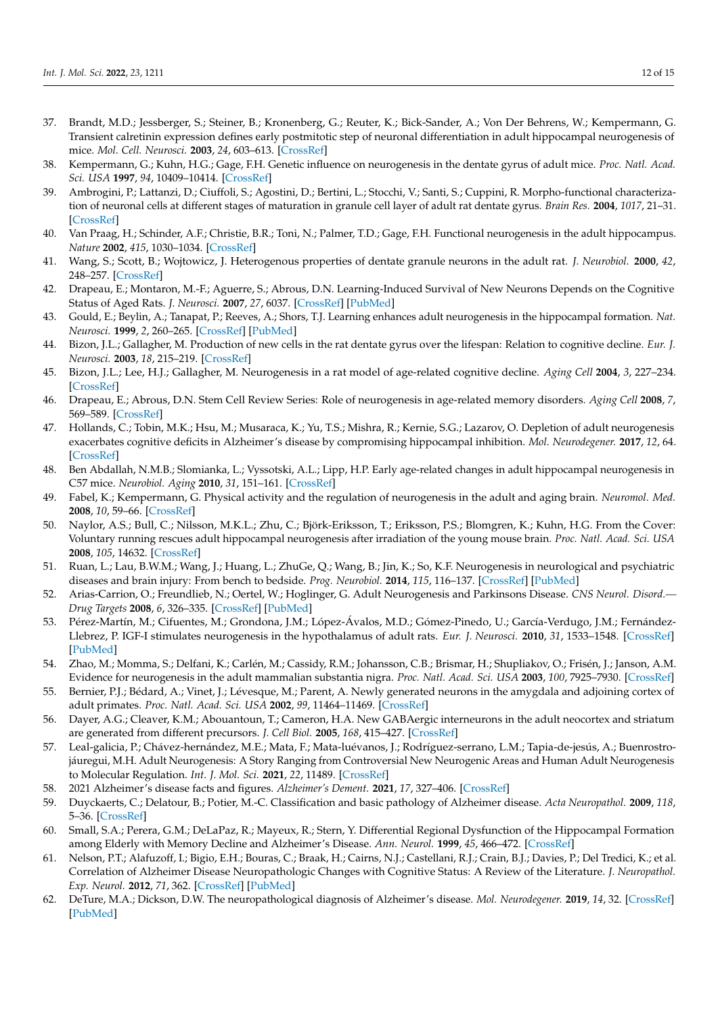- <span id="page-11-0"></span>37. Brandt, M.D.; Jessberger, S.; Steiner, B.; Kronenberg, G.; Reuter, K.; Bick-Sander, A.; Von Der Behrens, W.; Kempermann, G. Transient calretinin expression defines early postmitotic step of neuronal differentiation in adult hippocampal neurogenesis of mice. *Mol. Cell. Neurosci.* **2003**, *24*, 603–613. [\[CrossRef\]](http://doi.org/10.1016/S1044-7431(03)00207-0)
- <span id="page-11-1"></span>38. Kempermann, G.; Kuhn, H.G.; Gage, F.H. Genetic influence on neurogenesis in the dentate gyrus of adult mice. *Proc. Natl. Acad. Sci. USA* **1997**, *94*, 10409–10414. [\[CrossRef\]](http://doi.org/10.1073/pnas.94.19.10409)
- <span id="page-11-2"></span>39. Ambrogini, P.; Lattanzi, D.; Ciuffoli, S.; Agostini, D.; Bertini, L.; Stocchi, V.; Santi, S.; Cuppini, R. Morpho-functional characterization of neuronal cells at different stages of maturation in granule cell layer of adult rat dentate gyrus. *Brain Res.* **2004**, *1017*, 21–31. [\[CrossRef\]](http://doi.org/10.1016/j.brainres.2004.05.039)
- 40. Van Praag, H.; Schinder, A.F.; Christie, B.R.; Toni, N.; Palmer, T.D.; Gage, F.H. Functional neurogenesis in the adult hippocampus. *Nature* **2002**, *415*, 1030–1034. [\[CrossRef\]](http://doi.org/10.1038/4151030a)
- <span id="page-11-3"></span>41. Wang, S.; Scott, B.; Wojtowicz, J. Heterogenous properties of dentate granule neurons in the adult rat. *J. Neurobiol.* **2000**, *42*, 248–257. [\[CrossRef\]](http://doi.org/10.1002/(SICI)1097-4695(20000205)42:2<248::AID-NEU8>3.0.CO;2-J)
- <span id="page-11-4"></span>42. Drapeau, E.; Montaron, M.-F.; Aguerre, S.; Abrous, D.N. Learning-Induced Survival of New Neurons Depends on the Cognitive Status of Aged Rats. *J. Neurosci.* **2007**, *27*, 6037. [\[CrossRef\]](http://doi.org/10.1523/JNEUROSCI.1031-07.2007) [\[PubMed\]](http://www.ncbi.nlm.nih.gov/pubmed/17537975)
- <span id="page-11-5"></span>43. Gould, E.; Beylin, A.; Tanapat, P.; Reeves, A.; Shors, T.J. Learning enhances adult neurogenesis in the hippocampal formation. *Nat. Neurosci.* **1999**, *2*, 260–265. [\[CrossRef\]](http://doi.org/10.1038/6365) [\[PubMed\]](http://www.ncbi.nlm.nih.gov/pubmed/10195219)
- <span id="page-11-6"></span>44. Bizon, J.L.; Gallagher, M. Production of new cells in the rat dentate gyrus over the lifespan: Relation to cognitive decline. *Eur. J. Neurosci.* **2003**, *18*, 215–219. [\[CrossRef\]](http://doi.org/10.1046/j.1460-9568.2003.02733.x)
- 45. Bizon, J.L.; Lee, H.J.; Gallagher, M. Neurogenesis in a rat model of age-related cognitive decline. *Aging Cell* **2004**, *3*, 227–234. [\[CrossRef\]](http://doi.org/10.1111/j.1474-9728.2004.00099.x)
- 46. Drapeau, E.; Abrous, D.N. Stem Cell Review Series: Role of neurogenesis in age-related memory disorders. *Aging Cell* **2008**, *7*, 569–589. [\[CrossRef\]](http://doi.org/10.1111/j.1474-9726.2008.00369.x)
- <span id="page-11-7"></span>47. Hollands, C.; Tobin, M.K.; Hsu, M.; Musaraca, K.; Yu, T.S.; Mishra, R.; Kernie, S.G.; Lazarov, O. Depletion of adult neurogenesis exacerbates cognitive deficits in Alzheimer's disease by compromising hippocampal inhibition. *Mol. Neurodegener.* **2017**, *12*, 64. [\[CrossRef\]](http://doi.org/10.1186/s13024-017-0207-7)
- <span id="page-11-8"></span>48. Ben Abdallah, N.M.B.; Slomianka, L.; Vyssotski, A.L.; Lipp, H.P. Early age-related changes in adult hippocampal neurogenesis in C57 mice. *Neurobiol. Aging* **2010**, *31*, 151–161. [\[CrossRef\]](http://doi.org/10.1016/j.neurobiolaging.2008.03.002)
- 49. Fabel, K.; Kempermann, G. Physical activity and the regulation of neurogenesis in the adult and aging brain. *Neuromol. Med.* **2008**, *10*, 59–66. [\[CrossRef\]](http://doi.org/10.1007/s12017-008-8031-4)
- <span id="page-11-9"></span>50. Naylor, A.S.; Bull, C.; Nilsson, M.K.L.; Zhu, C.; Björk-Eriksson, T.; Eriksson, P.S.; Blomgren, K.; Kuhn, H.G. From the Cover: Voluntary running rescues adult hippocampal neurogenesis after irradiation of the young mouse brain. *Proc. Natl. Acad. Sci. USA* **2008**, *105*, 14632. [\[CrossRef\]](http://doi.org/10.1073/pnas.0711128105)
- <span id="page-11-10"></span>51. Ruan, L.; Lau, B.W.M.; Wang, J.; Huang, L.; ZhuGe, Q.; Wang, B.; Jin, K.; So, K.F. Neurogenesis in neurological and psychiatric diseases and brain injury: From bench to bedside. *Prog. Neurobiol.* **2014**, *115*, 116–137. [\[CrossRef\]](http://doi.org/10.1016/j.pneurobio.2013.12.006) [\[PubMed\]](http://www.ncbi.nlm.nih.gov/pubmed/24384539)
- <span id="page-11-11"></span>52. Arias-Carrion, O.; Freundlieb, N.; Oertel, W.; Hoglinger, G. Adult Neurogenesis and Parkinsons Disease. *CNS Neurol. Disord.— Drug Targets* **2008**, *6*, 326–335. [\[CrossRef\]](http://doi.org/10.2174/187152707783220875) [\[PubMed\]](http://www.ncbi.nlm.nih.gov/pubmed/18045161)
- <span id="page-11-12"></span>53. Pérez-Martín, M.; Cifuentes, M.; Grondona, J.M.; López-Ávalos, M.D.; Gómez-Pinedo, U.; García-Verdugo, J.M.; Fernández-Llebrez, P. IGF-I stimulates neurogenesis in the hypothalamus of adult rats. *Eur. J. Neurosci.* **2010**, *31*, 1533–1548. [\[CrossRef\]](http://doi.org/10.1111/j.1460-9568.2010.07220.x) [\[PubMed\]](http://www.ncbi.nlm.nih.gov/pubmed/20525067)
- 54. Zhao, M.; Momma, S.; Delfani, K.; Carlén, M.; Cassidy, R.M.; Johansson, C.B.; Brismar, H.; Shupliakov, O.; Frisén, J.; Janson, A.M. Evidence for neurogenesis in the adult mammalian substantia nigra. *Proc. Natl. Acad. Sci. USA* **2003**, *100*, 7925–7930. [\[CrossRef\]](http://doi.org/10.1073/pnas.1131955100)
- 55. Bernier, P.J.; Bédard, A.; Vinet, J.; Lévesque, M.; Parent, A. Newly generated neurons in the amygdala and adjoining cortex of adult primates. *Proc. Natl. Acad. Sci. USA* **2002**, *99*, 11464–11469. [\[CrossRef\]](http://doi.org/10.1073/pnas.172403999)
- <span id="page-11-13"></span>56. Dayer, A.G.; Cleaver, K.M.; Abouantoun, T.; Cameron, H.A. New GABAergic interneurons in the adult neocortex and striatum are generated from different precursors. *J. Cell Biol.* **2005**, *168*, 415–427. [\[CrossRef\]](http://doi.org/10.1083/jcb.200407053)
- <span id="page-11-14"></span>57. Leal-galicia, P.; Chávez-hernández, M.E.; Mata, F.; Mata-luévanos, J.; Rodríguez-serrano, L.M.; Tapia-de-jesús, A.; Buenrostrojáuregui, M.H. Adult Neurogenesis: A Story Ranging from Controversial New Neurogenic Areas and Human Adult Neurogenesis to Molecular Regulation. *Int. J. Mol. Sci.* **2021**, *22*, 11489. [\[CrossRef\]](http://doi.org/10.3390/ijms222111489)
- <span id="page-11-15"></span>58. 2021 Alzheimer's disease facts and figures. *Alzheimer's Dement.* **2021**, *17*, 327–406. [\[CrossRef\]](http://doi.org/10.1002/alz.12328)
- <span id="page-11-16"></span>59. Duyckaerts, C.; Delatour, B.; Potier, M.-C. Classification and basic pathology of Alzheimer disease. *Acta Neuropathol.* **2009**, *118*, 5–36. [\[CrossRef\]](http://doi.org/10.1007/s00401-009-0532-1)
- <span id="page-11-17"></span>60. Small, S.A.; Perera, G.M.; DeLaPaz, R.; Mayeux, R.; Stern, Y. Differential Regional Dysfunction of the Hippocampal Formation among Elderly with Memory Decline and Alzheimer's Disease. *Ann. Neurol.* **1999**, *45*, 466–472. [\[CrossRef\]](http://doi.org/10.1002/1531-8249(199904)45:4<466::AID-ANA8>3.0.CO;2-Q)
- <span id="page-11-18"></span>61. Nelson, P.T.; Alafuzoff, I.; Bigio, E.H.; Bouras, C.; Braak, H.; Cairns, N.J.; Castellani, R.J.; Crain, B.J.; Davies, P.; Del Tredici, K.; et al. Correlation of Alzheimer Disease Neuropathologic Changes with Cognitive Status: A Review of the Literature. *J. Neuropathol. Exp. Neurol.* **2012**, *71*, 362. [\[CrossRef\]](http://doi.org/10.1097/NEN.0b013e31825018f7) [\[PubMed\]](http://www.ncbi.nlm.nih.gov/pubmed/22487856)
- <span id="page-11-19"></span>62. DeTure, M.A.; Dickson, D.W. The neuropathological diagnosis of Alzheimer's disease. *Mol. Neurodegener.* **2019**, *14*, 32. [\[CrossRef\]](http://doi.org/10.1186/s13024-019-0333-5) [\[PubMed\]](http://www.ncbi.nlm.nih.gov/pubmed/31375134)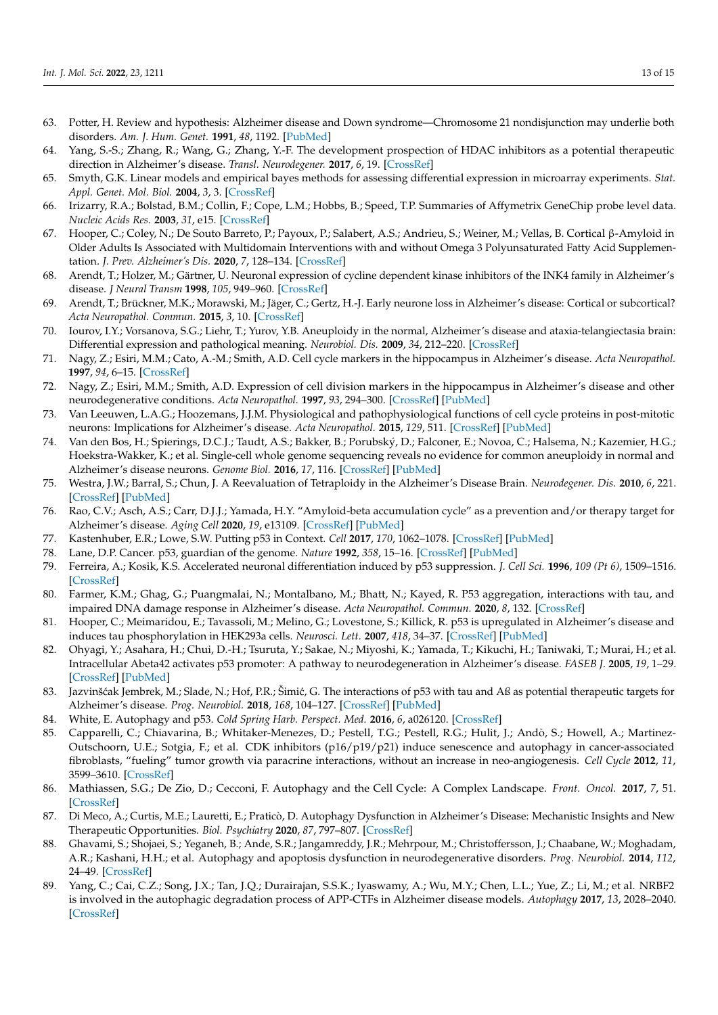- <span id="page-12-0"></span>63. Potter, H. Review and hypothesis: Alzheimer disease and Down syndrome—Chromosome 21 nondisjunction may underlie both disorders. *Am. J. Hum. Genet.* **1991**, *48*, 1192. [\[PubMed\]](http://www.ncbi.nlm.nih.gov/pubmed/1827946)
- <span id="page-12-1"></span>64. Yang, S.-S.; Zhang, R.; Wang, G.; Zhang, Y.-F. The development prospection of HDAC inhibitors as a potential therapeutic direction in Alzheimer's disease. *Transl. Neurodegener.* **2017**, *6*, 19. [\[CrossRef\]](http://doi.org/10.1186/s40035-017-0089-1)
- 65. Smyth, G.K. Linear models and empirical bayes methods for assessing differential expression in microarray experiments. *Stat. Appl. Genet. Mol. Biol.* **2004**, *3*, 3. [\[CrossRef\]](http://doi.org/10.2202/1544-6115.1027)
- 66. Irizarry, R.A.; Bolstad, B.M.; Collin, F.; Cope, L.M.; Hobbs, B.; Speed, T.P. Summaries of Affymetrix GeneChip probe level data. *Nucleic Acids Res.* **2003**, *31*, e15. [\[CrossRef\]](http://doi.org/10.1093/nar/gng015)
- 67. Hooper, C.; Coley, N.; De Souto Barreto, P.; Payoux, P.; Salabert, A.S.; Andrieu, S.; Weiner, M.; Vellas, B. Cortical β-Amyloid in Older Adults Is Associated with Multidomain Interventions with and without Omega 3 Polyunsaturated Fatty Acid Supplementation. *J. Prev. Alzheimer's Dis.* **2020**, *7*, 128–134. [\[CrossRef\]](http://doi.org/10.14283/jpad.2020.4)
- <span id="page-12-2"></span>68. Arendt, T.; Holzer, M.; Gärtner, U. Neuronal expression of cycline dependent kinase inhibitors of the INK4 family in Alzheimer's disease. *J Neural Transm* **1998**, *105*, 949–960. [\[CrossRef\]](http://doi.org/10.1007/s007020050104)
- <span id="page-12-3"></span>69. Arendt, T.; Brückner, M.K.; Morawski, M.; Jäger, C.; Gertz, H.-J. Early neurone loss in Alzheimer's disease: Cortical or subcortical? *Acta Neuropathol. Commun.* **2015**, *3*, 10. [\[CrossRef\]](http://doi.org/10.1186/s40478-015-0187-1)
- 70. Iourov, I.Y.; Vorsanova, S.G.; Liehr, T.; Yurov, Y.B. Aneuploidy in the normal, Alzheimer's disease and ataxia-telangiectasia brain: Differential expression and pathological meaning. *Neurobiol. Dis.* **2009**, *34*, 212–220. [\[CrossRef\]](http://doi.org/10.1016/j.nbd.2009.01.003)
- 71. Nagy, Z.; Esiri, M.M.; Cato, A.-M.; Smith, A.D. Cell cycle markers in the hippocampus in Alzheimer's disease. *Acta Neuropathol.* **1997**, *94*, 6–15. [\[CrossRef\]](http://doi.org/10.1007/s004010050665)
- <span id="page-12-4"></span>72. Nagy, Z.; Esiri, M.M.; Smith, A.D. Expression of cell division markers in the hippocampus in Alzheimer's disease and other neurodegenerative conditions. *Acta Neuropathol.* **1997**, *93*, 294–300. [\[CrossRef\]](http://doi.org/10.1007/s004010050617) [\[PubMed\]](http://www.ncbi.nlm.nih.gov/pubmed/9083562)
- <span id="page-12-5"></span>73. Van Leeuwen, L.A.G.; Hoozemans, J.J.M. Physiological and pathophysiological functions of cell cycle proteins in post-mitotic neurons: Implications for Alzheimer's disease. *Acta Neuropathol.* **2015**, *129*, 511. [\[CrossRef\]](http://doi.org/10.1007/s00401-015-1382-7) [\[PubMed\]](http://www.ncbi.nlm.nih.gov/pubmed/25618528)
- <span id="page-12-6"></span>74. Van den Bos, H.; Spierings, D.C.J.; Taudt, A.S.; Bakker, B.; Porubský, D.; Falconer, E.; Novoa, C.; Halsema, N.; Kazemier, H.G.; Hoekstra-Wakker, K.; et al. Single-cell whole genome sequencing reveals no evidence for common aneuploidy in normal and Alzheimer's disease neurons. *Genome Biol.* **2016**, *17*, 116. [\[CrossRef\]](http://doi.org/10.1186/s13059-016-0976-2) [\[PubMed\]](http://www.ncbi.nlm.nih.gov/pubmed/27246599)
- <span id="page-12-7"></span>75. Westra, J.W.; Barral, S.; Chun, J. A Reevaluation of Tetraploidy in the Alzheimer's Disease Brain. *Neurodegener. Dis.* **2010**, *6*, 221. [\[CrossRef\]](http://doi.org/10.1159/000236901) [\[PubMed\]](http://www.ncbi.nlm.nih.gov/pubmed/19738367)
- <span id="page-12-8"></span>76. Rao, C.V.; Asch, A.S.; Carr, D.J.J.; Yamada, H.Y. "Amyloid-beta accumulation cycle" as a prevention and/or therapy target for Alzheimer's disease. *Aging Cell* **2020**, *19*, e13109. [\[CrossRef\]](http://doi.org/10.1111/acel.13109) [\[PubMed\]](http://www.ncbi.nlm.nih.gov/pubmed/31981470)
- <span id="page-12-9"></span>77. Kastenhuber, E.R.; Lowe, S.W. Putting p53 in Context. *Cell* **2017**, *170*, 1062–1078. [\[CrossRef\]](http://doi.org/10.1016/j.cell.2017.08.028) [\[PubMed\]](http://www.ncbi.nlm.nih.gov/pubmed/28886379)
- <span id="page-12-10"></span>78. Lane, D.P. Cancer. p53, guardian of the genome. *Nature* **1992**, *358*, 15–16. [\[CrossRef\]](http://doi.org/10.1038/358015a0) [\[PubMed\]](http://www.ncbi.nlm.nih.gov/pubmed/1614522)
- <span id="page-12-11"></span>79. Ferreira, A.; Kosik, K.S. Accelerated neuronal differentiation induced by p53 suppression. *J. Cell Sci.* **1996**, *109 (Pt 6)*, 1509–1516. [\[CrossRef\]](http://doi.org/10.1242/jcs.109.6.1509)
- <span id="page-12-12"></span>80. Farmer, K.M.; Ghag, G.; Puangmalai, N.; Montalbano, M.; Bhatt, N.; Kayed, R. P53 aggregation, interactions with tau, and impaired DNA damage response in Alzheimer's disease. *Acta Neuropathol. Commun.* **2020**, *8*, 132. [\[CrossRef\]](http://doi.org/10.1186/s40478-020-01012-6)
- <span id="page-12-13"></span>81. Hooper, C.; Meimaridou, E.; Tavassoli, M.; Melino, G.; Lovestone, S.; Killick, R. p53 is upregulated in Alzheimer's disease and induces tau phosphorylation in HEK293a cells. *Neurosci. Lett.* **2007**, *418*, 34–37. [\[CrossRef\]](http://doi.org/10.1016/j.neulet.2007.03.026) [\[PubMed\]](http://www.ncbi.nlm.nih.gov/pubmed/17399897)
- <span id="page-12-14"></span>82. Ohyagi, Y.; Asahara, H.; Chui, D.-H.; Tsuruta, Y.; Sakae, N.; Miyoshi, K.; Yamada, T.; Kikuchi, H.; Taniwaki, T.; Murai, H.; et al. Intracellular Abeta42 activates p53 promoter: A pathway to neurodegeneration in Alzheimer's disease. *FASEB J.* **2005**, *19*, 1–29. [\[CrossRef\]](http://doi.org/10.1096/fj.04-2637fje) [\[PubMed\]](http://www.ncbi.nlm.nih.gov/pubmed/15548589)
- <span id="page-12-15"></span>83. Jazvinšćak Jembrek, M.; Slade, N.; Hof, P.R.; Šimić, G. The interactions of p53 with tau and Aß as potential therapeutic targets for Alzheimer's disease. *Prog. Neurobiol.* **2018**, *168*, 104–127. [\[CrossRef\]](http://doi.org/10.1016/j.pneurobio.2018.05.001) [\[PubMed\]](http://www.ncbi.nlm.nih.gov/pubmed/29733887)
- <span id="page-12-16"></span>84. White, E. Autophagy and p53. *Cold Spring Harb. Perspect. Med.* **2016**, *6*, a026120. [\[CrossRef\]](http://doi.org/10.1101/cshperspect.a026120)
- <span id="page-12-17"></span>85. Capparelli, C.; Chiavarina, B.; Whitaker-Menezes, D.; Pestell, T.G.; Pestell, R.G.; Hulit, J.; Andò, S.; Howell, A.; Martinez-Outschoorn, U.E.; Sotgia, F.; et al. CDK inhibitors  $(p16/p19/p21)$  induce senescence and autophagy in cancer-associated fibroblasts, "fueling" tumor growth via paracrine interactions, without an increase in neo-angiogenesis. *Cell Cycle* **2012**, *11*, 3599–3610. [\[CrossRef\]](http://doi.org/10.4161/cc.21884)
- <span id="page-12-18"></span>86. Mathiassen, S.G.; De Zio, D.; Cecconi, F. Autophagy and the Cell Cycle: A Complex Landscape. *Front. Oncol.* **2017**, *7*, 51. [\[CrossRef\]](http://doi.org/10.3389/fonc.2017.00051)
- <span id="page-12-19"></span>87. Di Meco, A.; Curtis, M.E.; Lauretti, E.; Praticò, D. Autophagy Dysfunction in Alzheimer's Disease: Mechanistic Insights and New Therapeutic Opportunities. *Biol. Psychiatry* **2020**, *87*, 797–807. [\[CrossRef\]](http://doi.org/10.1016/j.biopsych.2019.05.008)
- 88. Ghavami, S.; Shojaei, S.; Yeganeh, B.; Ande, S.R.; Jangamreddy, J.R.; Mehrpour, M.; Christoffersson, J.; Chaabane, W.; Moghadam, A.R.; Kashani, H.H.; et al. Autophagy and apoptosis dysfunction in neurodegenerative disorders. *Prog. Neurobiol.* **2014**, *112*, 24–49. [\[CrossRef\]](http://doi.org/10.1016/j.pneurobio.2013.10.004)
- <span id="page-12-20"></span>89. Yang, C.; Cai, C.Z.; Song, J.X.; Tan, J.Q.; Durairajan, S.S.K.; Iyaswamy, A.; Wu, M.Y.; Chen, L.L.; Yue, Z.; Li, M.; et al. NRBF2 is involved in the autophagic degradation process of APP-CTFs in Alzheimer disease models. *Autophagy* **2017**, *13*, 2028–2040. [\[CrossRef\]](http://doi.org/10.1080/15548627.2017.1379633)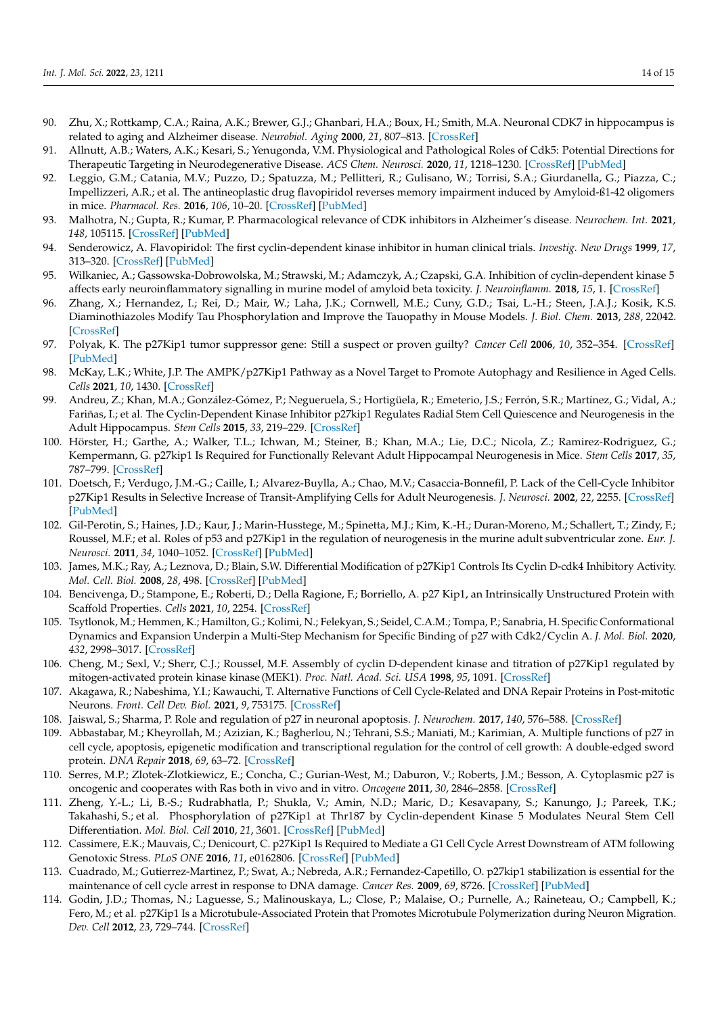- <span id="page-13-0"></span>90. Zhu, X.; Rottkamp, C.A.; Raina, A.K.; Brewer, G.J.; Ghanbari, H.A.; Boux, H.; Smith, M.A. Neuronal CDK7 in hippocampus is related to aging and Alzheimer disease. *Neurobiol. Aging* **2000**, *21*, 807–813. [\[CrossRef\]](http://doi.org/10.1016/S0197-4580(00)00217-7)
- <span id="page-13-1"></span>91. Allnutt, A.B.; Waters, A.K.; Kesari, S.; Yenugonda, V.M. Physiological and Pathological Roles of Cdk5: Potential Directions for Therapeutic Targeting in Neurodegenerative Disease. *ACS Chem. Neurosci.* **2020**, *11*, 1218–1230. [\[CrossRef\]](http://doi.org/10.1021/acschemneuro.0c00096) [\[PubMed\]](http://www.ncbi.nlm.nih.gov/pubmed/32286796)
- 92. Leggio, G.M.; Catania, M.V.; Puzzo, D.; Spatuzza, M.; Pellitteri, R.; Gulisano, W.; Torrisi, S.A.; Giurdanella, G.; Piazza, C.; Impellizzeri, A.R.; et al. The antineoplastic drug flavopiridol reverses memory impairment induced by Amyloid-ß1-42 oligomers in mice. *Pharmacol. Res.* **2016**, *106*, 10–20. [\[CrossRef\]](http://doi.org/10.1016/j.phrs.2016.02.007) [\[PubMed\]](http://www.ncbi.nlm.nih.gov/pubmed/26875816)
- <span id="page-13-3"></span>93. Malhotra, N.; Gupta, R.; Kumar, P. Pharmacological relevance of CDK inhibitors in Alzheimer's disease. *Neurochem. Int.* **2021**, *148*, 105115. [\[CrossRef\]](http://doi.org/10.1016/j.neuint.2021.105115) [\[PubMed\]](http://www.ncbi.nlm.nih.gov/pubmed/34182065)
- 94. Senderowicz, A. Flavopiridol: The first cyclin-dependent kinase inhibitor in human clinical trials. *Investig. New Drugs* **1999**, *17*, 313–320. [\[CrossRef\]](http://doi.org/10.1023/A:1006353008903) [\[PubMed\]](http://www.ncbi.nlm.nih.gov/pubmed/10665481)
- 95. Wilkaniec, A.; Gąssowska-Dobrowolska, M.; Strawski, M.; Adamczyk, A.; Czapski, G.A. Inhibition of cyclin-dependent kinase 5 affects early neuroinflammatory signalling in murine model of amyloid beta toxicity. *J. Neuroinflamm.* **2018**, *15*, 1. [\[CrossRef\]](http://doi.org/10.1186/s12974-017-1027-y)
- <span id="page-13-2"></span>96. Zhang, X.; Hernandez, I.; Rei, D.; Mair, W.; Laha, J.K.; Cornwell, M.E.; Cuny, G.D.; Tsai, L.-H.; Steen, J.A.J.; Kosik, K.S. Diaminothiazoles Modify Tau Phosphorylation and Improve the Tauopathy in Mouse Models. *J. Biol. Chem.* **2013**, *288*, 22042. [\[CrossRef\]](http://doi.org/10.1074/jbc.M112.436402)
- <span id="page-13-4"></span>97. Polyak, K. The p27Kip1 tumor suppressor gene: Still a suspect or proven guilty? *Cancer Cell* **2006**, *10*, 352–354. [\[CrossRef\]](http://doi.org/10.1016/j.ccr.2006.10.015) [\[PubMed\]](http://www.ncbi.nlm.nih.gov/pubmed/17097557)
- <span id="page-13-5"></span>98. McKay, L.K.; White, J.P. The AMPK/p27Kip1 Pathway as a Novel Target to Promote Autophagy and Resilience in Aged Cells. *Cells* **2021**, *10*, 1430. [\[CrossRef\]](http://doi.org/10.3390/cells10061430)
- <span id="page-13-6"></span>99. Andreu, Z.; Khan, M.A.; González-Gómez, P.; Negueruela, S.; Hortigüela, R.; Emeterio, J.S.; Ferrón, S.R.; Martínez, G.; Vidal, A.; Fariñas, I.; et al. The Cyclin-Dependent Kinase Inhibitor p27kip1 Regulates Radial Stem Cell Quiescence and Neurogenesis in the Adult Hippocampus. *Stem Cells* **2015**, *33*, 219–229. [\[CrossRef\]](http://doi.org/10.1002/stem.1832)
- <span id="page-13-7"></span>100. Hörster, H.; Garthe, A.; Walker, T.L.; Ichwan, M.; Steiner, B.; Khan, M.A.; Lie, D.C.; Nicola, Z.; Ramirez-Rodriguez, G.; Kempermann, G. p27kip1 Is Required for Functionally Relevant Adult Hippocampal Neurogenesis in Mice. *Stem Cells* **2017**, *35*, 787–799. [\[CrossRef\]](http://doi.org/10.1002/stem.2536)
- <span id="page-13-8"></span>101. Doetsch, F.; Verdugo, J.M.-G.; Caille, I.; Alvarez-Buylla, A.; Chao, M.V.; Casaccia-Bonnefil, P. Lack of the Cell-Cycle Inhibitor p27Kip1 Results in Selective Increase of Transit-Amplifying Cells for Adult Neurogenesis. *J. Neurosci.* **2002**, *22*, 2255. [\[CrossRef\]](http://doi.org/10.1523/JNEUROSCI.22-06-02255.2002) [\[PubMed\]](http://www.ncbi.nlm.nih.gov/pubmed/11896165)
- <span id="page-13-9"></span>102. Gil-Perotin, S.; Haines, J.D.; Kaur, J.; Marin-Husstege, M.; Spinetta, M.J.; Kim, K.-H.; Duran-Moreno, M.; Schallert, T.; Zindy, F.; Roussel, M.F.; et al. Roles of p53 and p27Kip1 in the regulation of neurogenesis in the murine adult subventricular zone. *Eur. J. Neurosci.* **2011**, *34*, 1040–1052. [\[CrossRef\]](http://doi.org/10.1111/j.1460-9568.2011.07836.x) [\[PubMed\]](http://www.ncbi.nlm.nih.gov/pubmed/21899604)
- <span id="page-13-10"></span>103. James, M.K.; Ray, A.; Leznova, D.; Blain, S.W. Differential Modification of p27Kip1 Controls Its Cyclin D-cdk4 Inhibitory Activity. *Mol. Cell. Biol.* **2008**, *28*, 498. [\[CrossRef\]](http://doi.org/10.1128/MCB.02171-06) [\[PubMed\]](http://www.ncbi.nlm.nih.gov/pubmed/17908796)
- <span id="page-13-11"></span>104. Bencivenga, D.; Stampone, E.; Roberti, D.; Della Ragione, F.; Borriello, A. p27 Kip1, an Intrinsically Unstructured Protein with Scaffold Properties. *Cells* **2021**, *10*, 2254. [\[CrossRef\]](http://doi.org/10.3390/cells10092254)
- <span id="page-13-12"></span>105. Tsytlonok, M.; Hemmen, K.; Hamilton, G.; Kolimi, N.; Felekyan, S.; Seidel, C.A.M.; Tompa, P.; Sanabria, H. Specific Conformational Dynamics and Expansion Underpin a Multi-Step Mechanism for Specific Binding of p27 with Cdk2/Cyclin A. *J. Mol. Biol.* **2020**, *432*, 2998–3017. [\[CrossRef\]](http://doi.org/10.1016/j.jmb.2020.02.010)
- <span id="page-13-13"></span>106. Cheng, M.; Sexl, V.; Sherr, C.J.; Roussel, M.F. Assembly of cyclin D-dependent kinase and titration of p27Kip1 regulated by mitogen-activated protein kinase kinase (MEK1). *Proc. Natl. Acad. Sci. USA* **1998**, *95*, 1091. [\[CrossRef\]](http://doi.org/10.1073/pnas.95.3.1091)
- <span id="page-13-14"></span>107. Akagawa, R.; Nabeshima, Y.I.; Kawauchi, T. Alternative Functions of Cell Cycle-Related and DNA Repair Proteins in Post-mitotic Neurons. *Front. Cell Dev. Biol.* **2021**, *9*, 753175. [\[CrossRef\]](http://doi.org/10.3389/fcell.2021.753175)
- <span id="page-13-15"></span>108. Jaiswal, S.; Sharma, P. Role and regulation of p27 in neuronal apoptosis. *J. Neurochem.* **2017**, *140*, 576–588. [\[CrossRef\]](http://doi.org/10.1111/jnc.13918)
- <span id="page-13-16"></span>109. Abbastabar, M.; Kheyrollah, M.; Azizian, K.; Bagherlou, N.; Tehrani, S.S.; Maniati, M.; Karimian, A. Multiple functions of p27 in cell cycle, apoptosis, epigenetic modification and transcriptional regulation for the control of cell growth: A double-edged sword protein. *DNA Repair* **2018**, *69*, 63–72. [\[CrossRef\]](http://doi.org/10.1016/j.dnarep.2018.07.008)
- <span id="page-13-17"></span>110. Serres, M.P.; Zlotek-Zlotkiewicz, E.; Concha, C.; Gurian-West, M.; Daburon, V.; Roberts, J.M.; Besson, A. Cytoplasmic p27 is oncogenic and cooperates with Ras both in vivo and in vitro. *Oncogene* **2011**, *30*, 2846–2858. [\[CrossRef\]](http://doi.org/10.1038/onc.2011.9)
- <span id="page-13-18"></span>111. Zheng, Y.-L.; Li, B.-S.; Rudrabhatla, P.; Shukla, V.; Amin, N.D.; Maric, D.; Kesavapany, S.; Kanungo, J.; Pareek, T.K.; Takahashi, S.; et al. Phosphorylation of p27Kip1 at Thr187 by Cyclin-dependent Kinase 5 Modulates Neural Stem Cell Differentiation. *Mol. Biol. Cell* **2010**, *21*, 3601. [\[CrossRef\]](http://doi.org/10.1091/mbc.e10-01-0054) [\[PubMed\]](http://www.ncbi.nlm.nih.gov/pubmed/20810788)
- 112. Cassimere, E.K.; Mauvais, C.; Denicourt, C. p27Kip1 Is Required to Mediate a G1 Cell Cycle Arrest Downstream of ATM following Genotoxic Stress. *PLoS ONE* **2016**, *11*, e0162806. [\[CrossRef\]](http://doi.org/10.1371/journal.pone.0162806) [\[PubMed\]](http://www.ncbi.nlm.nih.gov/pubmed/27611996)
- <span id="page-13-19"></span>113. Cuadrado, M.; Gutierrez-Martinez, P.; Swat, A.; Nebreda, A.R.; Fernandez-Capetillo, O. p27kip1 stabilization is essential for the maintenance of cell cycle arrest in response to DNA damage. *Cancer Res.* **2009**, *69*, 8726. [\[CrossRef\]](http://doi.org/10.1158/0008-5472.CAN-09-0729) [\[PubMed\]](http://www.ncbi.nlm.nih.gov/pubmed/19843869)
- <span id="page-13-20"></span>114. Godin, J.D.; Thomas, N.; Laguesse, S.; Malinouskaya, L.; Close, P.; Malaise, O.; Purnelle, A.; Raineteau, O.; Campbell, K.; Fero, M.; et al. p27Kip1 Is a Microtubule-Associated Protein that Promotes Microtubule Polymerization during Neuron Migration. *Dev. Cell* **2012**, *23*, 729–744. [\[CrossRef\]](http://doi.org/10.1016/j.devcel.2012.08.006)